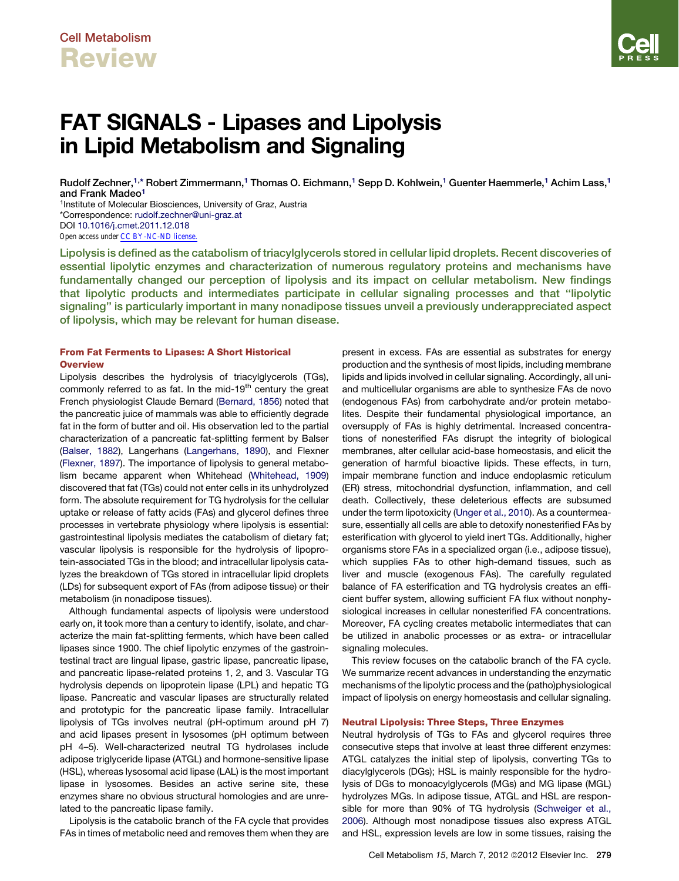# FAT SIGNALS - Lipases and Lipolysis in Lipid Metabolism and Signaling

Rudolf Zechner,1, \* Robert Zimmermann,<sup>1</sup> Thomas O. Eichmann,<sup>1</sup> Sepp D. Kohlwein,<sup>1</sup> Guenter Haemmerle,<sup>1</sup> Achim Lass,<sup>1</sup> and Frank Madeo<sup>1</sup>

<sup>1</sup>Institute of Molecular Biosciences, University of Graz, Austria \*Correspondence: [rudolf.zechner@uni-graz.at](mailto:rudolf.zechner@uni-graz.at) DOI [10.1016/j.cmet.2011.12.018](http://dx.doi.org/10.1016/j.cmet.2011.12.018) Open access under [CC BY-NC-ND license.](http://creativecommons.org/licenses/by-nc-nd/3.0/)

Lipolysis is defined as the catabolism of triacylglycerols stored in cellular lipid droplets. Recent discoveries of essential lipolytic enzymes and characterization of numerous regulatory proteins and mechanisms have fundamentally changed our perception of lipolysis and its impact on cellular metabolism. New findings that lipolytic products and intermediates participate in cellular signaling processes and that ''lipolytic signaling'' is particularly important in many nonadipose tissues unveil a previously underappreciated aspect of lipolysis, which may be relevant for human disease.

## From Fat Ferments to Lipases: A Short Historical **Overview**

Lipolysis describes the hydrolysis of triacylglycerols (TGs), commonly referred to as fat. In the mid-19<sup>th</sup> century the great French physiologist Claude Bernard [\(Bernard, 1856](#page-9-0)) noted that the pancreatic juice of mammals was able to efficiently degrade fat in the form of butter and oil. His observation led to the partial characterization of a pancreatic fat-splitting ferment by Balser [\(Balser, 1882](#page-9-0)), Langerhans ([Langerhans, 1890](#page-11-0)), and Flexner [\(Flexner, 1897\)](#page-10-0). The importance of lipolysis to general metabolism became apparent when Whitehead [\(Whitehead, 1909\)](#page-12-0) discovered that fat (TGs) could not enter cells in its unhydrolyzed form. The absolute requirement for TG hydrolysis for the cellular uptake or release of fatty acids (FAs) and glycerol defines three processes in vertebrate physiology where lipolysis is essential: gastrointestinal lipolysis mediates the catabolism of dietary fat; vascular lipolysis is responsible for the hydrolysis of lipoprotein-associated TGs in the blood; and intracellular lipolysis catalyzes the breakdown of TGs stored in intracellular lipid droplets (LDs) for subsequent export of FAs (from adipose tissue) or their metabolism (in nonadipose tissues).

Although fundamental aspects of lipolysis were understood early on, it took more than a century to identify, isolate, and characterize the main fat-splitting ferments, which have been called lipases since 1900. The chief lipolytic enzymes of the gastrointestinal tract are lingual lipase, gastric lipase, pancreatic lipase, and pancreatic lipase-related proteins 1, 2, and 3. Vascular TG hydrolysis depends on lipoprotein lipase (LPL) and hepatic TG lipase. Pancreatic and vascular lipases are structurally related and prototypic for the pancreatic lipase family. Intracellular lipolysis of TGs involves neutral (pH-optimum around pH 7) and acid lipases present in lysosomes (pH optimum between pH 4–5). Well-characterized neutral TG hydrolases include adipose triglyceride lipase (ATGL) and hormone-sensitive lipase (HSL), whereas lysosomal acid lipase (LAL) is the most important lipase in lysosomes. Besides an active serine site, these enzymes share no obvious structural homologies and are unrelated to the pancreatic lipase family.

Lipolysis is the catabolic branch of the FA cycle that provides FAs in times of metabolic need and removes them when they are present in excess. FAs are essential as substrates for energy production and the synthesis of most lipids, including membrane lipids and lipids involved in cellular signaling. Accordingly, all uniand multicellular organisms are able to synthesize FAs de novo (endogenous FAs) from carbohydrate and/or protein metabolites. Despite their fundamental physiological importance, an oversupply of FAs is highly detrimental. Increased concentrations of nonesterified FAs disrupt the integrity of biological membranes, alter cellular acid-base homeostasis, and elicit the generation of harmful bioactive lipids. These effects, in turn, impair membrane function and induce endoplasmic reticulum (ER) stress, mitochondrial dysfunction, inflammation, and cell death. Collectively, these deleterious effects are subsumed under the term lipotoxicity [\(Unger et al., 2010\)](#page-12-0). As a countermeasure, essentially all cells are able to detoxify nonesterified FAs by esterification with glycerol to yield inert TGs. Additionally, higher organisms store FAs in a specialized organ (i.e., adipose tissue), which supplies FAs to other high-demand tissues, such as liver and muscle (exogenous FAs). The carefully regulated balance of FA esterification and TG hydrolysis creates an efficient buffer system, allowing sufficient FA flux without nonphysiological increases in cellular nonesterified FA concentrations. Moreover, FA cycling creates metabolic intermediates that can be utilized in anabolic processes or as extra- or intracellular signaling molecules.

This review focuses on the catabolic branch of the FA cycle. We summarize recent advances in understanding the enzymatic mechanisms of the lipolytic process and the (patho)physiological impact of lipolysis on energy homeostasis and cellular signaling.

### Neutral Lipolysis: Three Steps, Three Enzymes

Neutral hydrolysis of TGs to FAs and glycerol requires three consecutive steps that involve at least three different enzymes: ATGL catalyzes the initial step of lipolysis, converting TGs to diacylglycerols (DGs); HSL is mainly responsible for the hydrolysis of DGs to monoacylglycerols (MGs) and MG lipase (MGL) hydrolyzes MGs. In adipose tissue, ATGL and HSL are responsible for more than 90% of TG hydrolysis ([Schweiger et al.,](#page-11-0) [2006\)](#page-11-0). Although most nonadipose tissues also express ATGL and HSL, expression levels are low in some tissues, raising the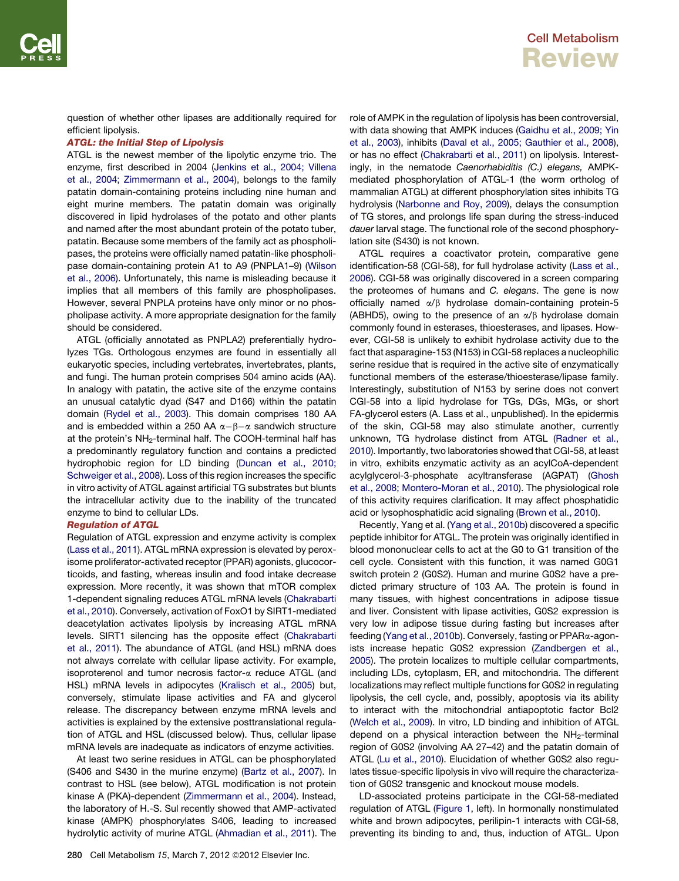question of whether other lipases are additionally required for efficient lipolysis.

#### ATGL: the Initial Step of Lipolysis

ATGL is the newest member of the lipolytic enzyme trio. The enzyme, first described in 2004 [\(Jenkins et al., 2004; Villena](#page-10-0) [et al., 2004; Zimmermann et al., 2004](#page-10-0)), belongs to the family patatin domain-containing proteins including nine human and eight murine members. The patatin domain was originally discovered in lipid hydrolases of the potato and other plants and named after the most abundant protein of the potato tuber, patatin. Because some members of the family act as phospholipases, the proteins were officially named patatin-like phospholipase domain-containing protein A1 to A9 (PNPLA1–9) ([Wilson](#page-12-0) [et al., 2006\)](#page-12-0). Unfortunately, this name is misleading because it implies that all members of this family are phospholipases. However, several PNPLA proteins have only minor or no phospholipase activity. A more appropriate designation for the family should be considered.

ATGL (officially annotated as PNPLA2) preferentially hydrolyzes TGs. Orthologous enzymes are found in essentially all eukaryotic species, including vertebrates, invertebrates, plants, and fungi. The human protein comprises 504 amino acids (AA). In analogy with patatin, the active site of the enzyme contains an unusual catalytic dyad (S47 and D166) within the patatin domain [\(Rydel et al., 2003](#page-11-0)). This domain comprises 180 AA and is embedded within a 250 AA  $\alpha-\beta-\alpha$  sandwich structure at the protein's  $NH<sub>2</sub>$ -terminal half. The COOH-terminal half has a predominantly regulatory function and contains a predicted hydrophobic region for LD binding [\(Duncan et al., 2010;](#page-10-0) [Schweiger et al., 2008](#page-10-0)). Loss of this region increases the specific in vitro activity of ATGL against artificial TG substrates but blunts the intracellular activity due to the inability of the truncated enzyme to bind to cellular LDs.

#### Regulation of ATGL

Regulation of ATGL expression and enzyme activity is complex ([Lass et al., 2011](#page-11-0)). ATGL mRNA expression is elevated by peroxisome proliferator-activated receptor (PPAR) agonists, glucocorticoids, and fasting, whereas insulin and food intake decrease expression. More recently, it was shown that mTOR complex 1-dependent signaling reduces ATGL mRNA levels ([Chakrabarti](#page-9-0) [et al., 2010](#page-9-0)). Conversely, activation of FoxO1 by SIRT1-mediated deacetylation activates lipolysis by increasing ATGL mRNA levels. SIRT1 silencing has the opposite effect ([Chakrabarti](#page-9-0) [et al., 2011\)](#page-9-0). The abundance of ATGL (and HSL) mRNA does not always correlate with cellular lipase activity. For example, isoproterenol and tumor necrosis factor-a reduce ATGL (and HSL) mRNA levels in adipocytes ([Kralisch et al., 2005\)](#page-10-0) but, conversely, stimulate lipase activities and FA and glycerol release. The discrepancy between enzyme mRNA levels and activities is explained by the extensive posttranslational regulation of ATGL and HSL (discussed below). Thus, cellular lipase mRNA levels are inadequate as indicators of enzyme activities.

At least two serine residues in ATGL can be phosphorylated (S406 and S430 in the murine enzyme) ([Bartz et al., 2007](#page-9-0)). In contrast to HSL (see below), ATGL modification is not protein kinase A (PKA)-dependent [\(Zimmermann et al., 2004](#page-12-0)). Instead, the laboratory of H.-S. Sul recently showed that AMP-activated kinase (AMPK) phosphorylates S406, leading to increased hydrolytic activity of murine ATGL ([Ahmadian et al., 2011](#page-9-0)). The

## Cell Metabolism **Review**

role of AMPK in the regulation of lipolysis has been controversial, with data showing that AMPK induces ([Gaidhu et al., 2009; Yin](#page-10-0) [et al., 2003](#page-10-0)), inhibits ([Daval et al., 2005; Gauthier et al., 2008](#page-9-0)), or has no effect [\(Chakrabarti et al., 2011\)](#page-9-0) on lipolysis. Interestingly, in the nematode *Caenorhabiditis (C.) elegans,* AMPKmediated phosphorylation of ATGL-1 (the worm ortholog of mammalian ATGL) at different phosphorylation sites inhibits TG hydrolysis ([Narbonne and Roy, 2009\)](#page-11-0), delays the consumption of TG stores, and prolongs life span during the stress-induced *dauer* larval stage. The functional role of the second phosphorylation site (S430) is not known.

ATGL requires a coactivator protein, comparative gene identification-58 (CGI-58), for full hydrolase activity [\(Lass et al.,](#page-11-0) [2006\)](#page-11-0). CGI-58 was originally discovered in a screen comparing the proteomes of humans and *C. elegans*. The gene is now officially named  $\alpha/\beta$  hydrolase domain-containing protein-5 (ABHD5), owing to the presence of an  $\alpha/\beta$  hydrolase domain commonly found in esterases, thioesterases, and lipases. However, CGI-58 is unlikely to exhibit hydrolase activity due to the fact that asparagine-153 (N153) in CGI-58 replaces a nucleophilic serine residue that is required in the active site of enzymatically functional members of the esterase/thioesterase/lipase family. Interestingly, substitution of N153 by serine does not convert CGI-58 into a lipid hydrolase for TGs, DGs, MGs, or short FA-glycerol esters (A. Lass et al., unpublished). In the epidermis of the skin, CGI-58 may also stimulate another, currently unknown, TG hydrolase distinct from ATGL [\(Radner et al.,](#page-11-0) [2010\)](#page-11-0). Importantly, two laboratories showed that CGI-58, at least in vitro, exhibits enzymatic activity as an acylCoA-dependent acylglycerol-3-phosphate acyltransferase (AGPAT) ([Ghosh](#page-10-0) [et al., 2008; Montero-Moran et al., 2010\)](#page-10-0). The physiological role of this activity requires clarification. It may affect phosphatidic acid or lysophosphatidic acid signaling (Brown [et al., 2010](#page-9-0)).

Recently, Yang et al. ([Yang et al., 2010b\)](#page-12-0) discovered a specific peptide inhibitor for ATGL. The protein was originally identified in blood mononuclear cells to act at the G0 to G1 transition of the cell cycle. Consistent with this function, it was named G0G1 switch protein 2 (G0S2). Human and murine G0S2 have a predicted primary structure of 103 AA. The protein is found in many tissues, with highest concentrations in adipose tissue and liver. Consistent with lipase activities, G0S2 expression is very low in adipose tissue during fasting but increases after feeding ([Yang et al., 2010b](#page-12-0)). Conversely, fasting or PPARa-agonists increase hepatic G0S2 expression ([Zandbergen et al.,](#page-12-0) [2005\)](#page-12-0). The protein localizes to multiple cellular compartments, including LDs, cytoplasm, ER, and mitochondria. The different localizations may reflect multiple functions for G0S2 in regulating lipolysis, the cell cycle, and, possibly, apoptosis via its ability to interact with the mitochondrial antiapoptotic factor Bcl2 [\(Welch et al., 2009](#page-12-0)). In vitro, LD binding and inhibition of ATGL depend on a physical interaction between the  $NH<sub>2</sub>$ -terminal region of G0S2 (involving AA 27–42) and the patatin domain of ATGL [\(Lu et al., 2010](#page-11-0)). Elucidation of whether G0S2 also regulates tissue-specific lipolysis in vivo will require the characterization of G0S2 transgenic and knockout mouse models.

LD-associated proteins participate in the CGI-58-mediated regulation of ATGL [\(Figure 1](#page-2-0), left). In hormonally nonstimulated white and brown adipocytes, perilipin-1 interacts with CGI-58, preventing its binding to and, thus, induction of ATGL. Upon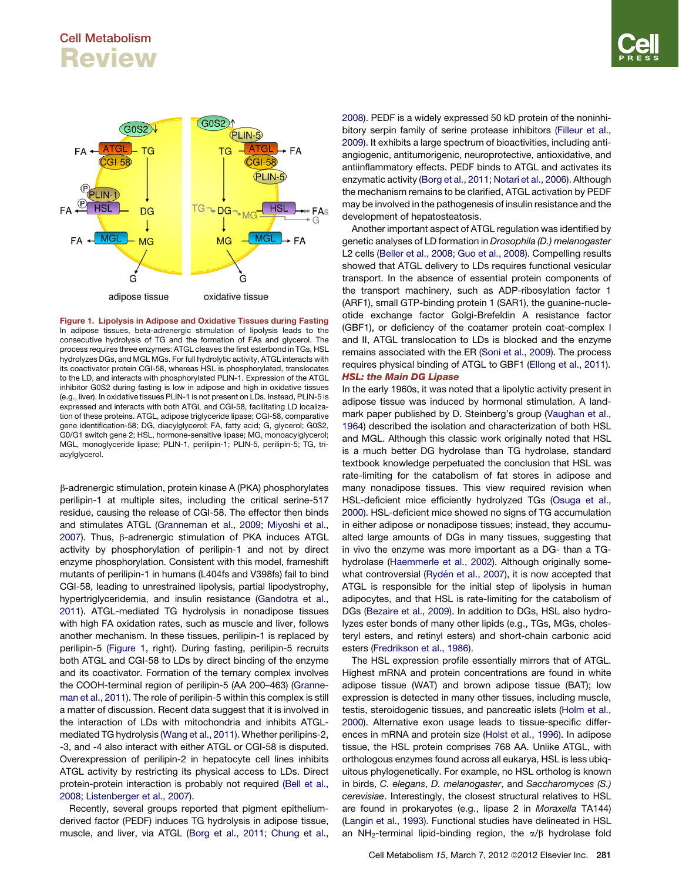PPLIN-1

**MG** 

adipose tissue

<span id="page-2-0"></span>

**MGL** 

**MG** 

G

oxidative tissue

 $\rightarrow$  FA

Figure 1. Lipolysis in Adipose and Oxidative Tissues during Fasting In adipose tissues, beta-adrenergic stimulation of lipolysis leads to the consecutive hydrolysis of TG and the formation of FAs and glycerol. The process requires three enzymes: ATGL cleaves the first esterbond in TGs, HSL hydrolyzes DGs, and MGL MGs. For full hydrolytic activity, ATGL interacts with its coactivator protein CGI-58, whereas HSL is phosphorylated, translocates to the LD, and interacts with phosphorylated PLIN-1. Expression of the ATGL inhibitor G0S2 during fasting is low in adipose and high in oxidative tissues (e.g., liver). In oxidative tissues PLIN-1 is not present on LDs. Instead, PLIN-5 is expressed and interacts with both ATGL and CGI-58, facilitating LD localization of these proteins. ATGL, adipose triglyceride lipase; CGI-58, comparative gene identification-58; DG, diacylglycerol; FA, fatty acid; G, glycerol; G0S2, G0/G1 switch gene 2; HSL, hormone-sensitive lipase; MG, monoacylglycerol; MGL, monoglyceride lipase; PLIN-1, perilipin-1; PLIN-5, perilipin-5; TG, triacylglycerol.

b-adrenergic stimulation, protein kinase A (PKA) phosphorylates perilipin-1 at multiple sites, including the critical serine-517 residue, causing the release of CGI-58. The effector then binds and stimulates ATGL [\(Granneman et al., 2009; Miyoshi et al.,](#page-10-0) [2007\)](#page-10-0). Thus,  $\beta$ -adrenergic stimulation of PKA induces ATGL activity by phosphorylation of perilipin-1 and not by direct enzyme phosphorylation. Consistent with this model, frameshift mutants of perilipin-1 in humans (L404fs and V398fs) fail to bind CGI-58, leading to unrestrained lipolysis, partial lipodystrophy, hypertriglyceridemia, and insulin resistance [\(Gandotra et al.,](#page-10-0) [2011\)](#page-10-0). ATGL-mediated TG hydrolysis in nonadipose tissues with high FA oxidation rates, such as muscle and liver, follows another mechanism. In these tissues, perilipin-1 is replaced by perilipin-5 (Figure 1, right). During fasting, perilipin-5 recruits both ATGL and CGI-58 to LDs by direct binding of the enzyme and its coactivator. Formation of the ternary complex involves the COOH-terminal region of perilipin-5 (AA 200–463) [\(Granne](#page-10-0)[man et al., 2011](#page-10-0)). The role of perilipin-5 within this complex is still a matter of discussion. Recent data suggest that it is involved in the interaction of LDs with mitochondria and inhibits ATGLmediated TG hydrolysis ([Wang et al., 2011\)](#page-12-0). Whether perilipins-2, -3, and -4 also interact with either ATGL or CGI-58 is disputed. Overexpression of perilipin-2 in hepatocyte cell lines inhibits ATGL activity by restricting its physical access to LDs. Direct protein-protein interaction is probably not required [\(Bell et al.,](#page-9-0) [2008; Listenberger et al., 2007](#page-9-0)).

Recently, several groups reported that pigment epitheliumderived factor (PEDF) induces TG hydrolysis in adipose tissue, muscle, and liver, via ATGL [\(Borg et al., 2011; Chung et al.,](#page-9-0) [2008\)](#page-9-0). PEDF is a widely expressed 50 kD protein of the noninhibitory serpin family of serine protease inhibitors [\(Filleur et al.,](#page-10-0) [2009\)](#page-10-0). It exhibits a large spectrum of bioactivities, including antiangiogenic, antitumorigenic, neuroprotective, antioxidative, and antiinflammatory effects. PEDF binds to ATGL and activates its enzymatic activity ([Borg et al., 2011; Notari et al., 2006](#page-9-0)). Although the mechanism remains to be clarified, ATGL activation by PEDF may be involved in the pathogenesis of insulin resistance and the development of hepatosteatosis.

Another important aspect of ATGL regulation was identified by genetic analyses of LD formation in *Drosophila (D.) melanogaster* L2 cells [\(Beller et al., 2008; Guo et al., 2008](#page-9-0)). Compelling results showed that ATGL delivery to LDs requires functional vesicular transport. In the absence of essential protein components of the transport machinery, such as ADP-ribosylation factor 1 (ARF1), small GTP-binding protein 1 (SAR1), the guanine-nucleotide exchange factor Golgi-Brefeldin A resistance factor (GBF1), or deficiency of the coatamer protein coat-complex I and II, ATGL translocation to LDs is blocked and the enzyme remains associated with the ER [\(Soni et al., 2009](#page-12-0)). The process requires physical binding of ATGL to GBF1 ([Ellong et al., 2011](#page-10-0)). HSL: the Main DG Lipase

In the early 1960s, it was noted that a lipolytic activity present in adipose tissue was induced by hormonal stimulation. A landmark paper published by D. Steinberg's group [\(Vaughan et al.,](#page-12-0) [1964\)](#page-12-0) described the isolation and characterization of both HSL and MGL. Although this classic work originally noted that HSL is a much better DG hydrolase than TG hydrolase, standard textbook knowledge perpetuated the conclusion that HSL was rate-limiting for the catabolism of fat stores in adipose and many nonadipose tissues. This view required revision when HSL-deficient mice efficiently hydrolyzed TGs [\(Osuga et al.,](#page-11-0) [2000\)](#page-11-0). HSL-deficient mice showed no signs of TG accumulation in either adipose or nonadipose tissues; instead, they accumualted large amounts of DGs in many tissues, suggesting that in vivo the enzyme was more important as a DG- than a TGhydrolase ([Haemmerle et al., 2002](#page-10-0)). Although originally somewhat controversial (Rydé[n et al., 2007](#page-11-0)), it is now accepted that ATGL is responsible for the initial step of lipolysis in human adipocytes, and that HSL is rate-limiting for the catabolism of DGs ([Bezaire et al., 2009](#page-9-0)). In addition to DGs, HSL also hydrolyzes ester bonds of many other lipids (e.g., TGs, MGs, cholesteryl esters, and retinyl esters) and short-chain carbonic acid esters ([Fredrikson et al., 1986](#page-10-0)).

The HSL expression profile essentially mirrors that of ATGL. Highest mRNA and protein concentrations are found in white adipose tissue (WAT) and brown adipose tissue (BAT); low expression is detected in many other tissues, including muscle, testis, steroidogenic tissues, and pancreatic islets [\(Holm et al.,](#page-10-0) [2000\)](#page-10-0). Alternative exon usage leads to tissue-specific differences in mRNA and protein size ([Holst et al., 1996](#page-10-0)). In adipose tissue, the HSL protein comprises 768 AA. Unlike ATGL, with orthologous enzymes found across all eukarya, HSL is less ubiquitous phylogenetically. For example, no HSL ortholog is known in birds, *C. elegans*, *D. melanogaster*, and *Saccharomyces (S.) cerevisiae*. Interestingly, the closest structural relatives to HSL are found in prokaryotes (e.g., lipase 2 in *Moraxella* TA144) [\(Langin et al., 1993](#page-11-0)). Functional studies have delineated in HSL an NH<sub>2</sub>-terminal lipid-binding region, the  $\alpha/\beta$  hydrolase fold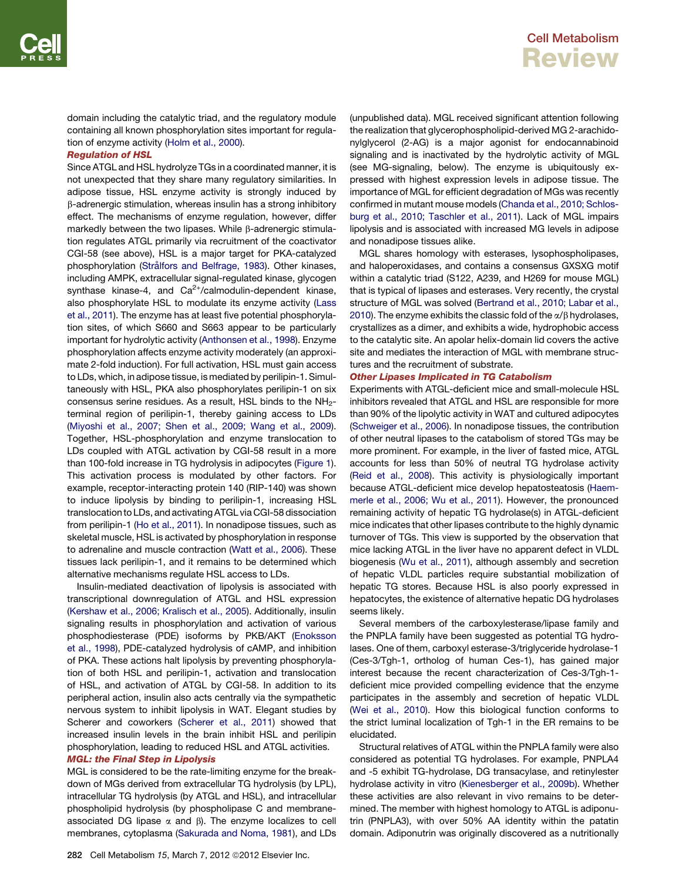domain including the catalytic triad, and the regulatory module containing all known phosphorylation sites important for regulation of enzyme activity ([Holm et al., 2000](#page-10-0)).

### Regulation of HSL

Since ATGL and HSL hydrolyze TGs in a coordinated manner, it is not unexpected that they share many regulatory similarities. In adipose tissue, HSL enzyme activity is strongly induced by b-adrenergic stimulation, whereas insulin has a strong inhibitory effect. The mechanisms of enzyme regulation, however, differ markedly between the two lipases. While  $\beta$ -adrenergic stimulation regulates ATGL primarily via recruitment of the coactivator CGI-58 (see above), HSL is a major target for PKA-catalyzed phosphorylation (Strå[lfors and Belfrage, 1983](#page-12-0)). Other kinases, including AMPK, extracellular signal-regulated kinase, glycogen synthase kinase-4, and  $Ca^{2+}/cal$ calmodulin-dependent kinase, also phosphorylate HSL to modulate its enzyme activity [\(Lass](#page-11-0) [et al., 2011\)](#page-11-0). The enzyme has at least five potential phosphorylation sites, of which S660 and S663 appear to be particularly important for hydrolytic activity [\(Anthonsen et al., 1998](#page-9-0)). Enzyme phosphorylation affects enzyme activity moderately (an approximate 2-fold induction). For full activation, HSL must gain access to LDs, which, in adipose tissue, is mediated by perilipin-1. Simultaneously with HSL, PKA also phosphorylates perilipin-1 on six consensus serine residues. As a result, HSL binds to the  $NH<sub>2</sub>$ terminal region of perilipin-1, thereby gaining access to LDs ([Miyoshi et al., 2007; Shen et al., 2009; Wang et al., 2009](#page-11-0)). Together, HSL-phosphorylation and enzyme translocation to LDs coupled with ATGL activation by CGI-58 result in a more than 100-fold increase in TG hydrolysis in adipocytes ([Figure 1](#page-2-0)). This activation process is modulated by other factors. For example, receptor-interacting protein 140 (RIP-140) was shown to induce lipolysis by binding to perilipin-1, increasing HSL translocation to LDs, and activating ATGL via CGI-58 dissociation from perilipin-1 [\(Ho et al., 2011](#page-10-0)). In nonadipose tissues, such as skeletal muscle, HSL is activated by phosphorylation in response to adrenaline and muscle contraction [\(Watt et al., 2006\)](#page-12-0). These tissues lack perilipin-1, and it remains to be determined which alternative mechanisms regulate HSL access to LDs.

Insulin-mediated deactivation of lipolysis is associated with transcriptional downregulation of ATGL and HSL expression ([Kershaw et al., 2006; Kralisch et al., 2005](#page-10-0)). Additionally, insulin signaling results in phosphorylation and activation of various phosphodiesterase (PDE) isoforms by PKB/AKT ([Enoksson](#page-10-0) [et al., 1998\)](#page-10-0), PDE-catalyzed hydrolysis of cAMP, and inhibition of PKA. These actions halt lipolysis by preventing phosphorylation of both HSL and perilipin-1, activation and translocation of HSL, and activation of ATGL by CGI-58. In addition to its peripheral action, insulin also acts centrally via the sympathetic nervous system to inhibit lipolysis in WAT. Elegant studies by Scherer and coworkers [\(Scherer et al., 2011](#page-11-0)) showed that increased insulin levels in the brain inhibit HSL and perilipin phosphorylation, leading to reduced HSL and ATGL activities.

### MGL: the Final Step in Lipolysis

MGL is considered to be the rate-limiting enzyme for the breakdown of MGs derived from extracellular TG hydrolysis (by LPL), intracellular TG hydrolysis (by ATGL and HSL), and intracellular phospholipid hydrolysis (by phospholipase C and membraneassociated DG lipase  $\alpha$  and  $\beta$ ). The enzyme localizes to cell membranes, cytoplasma [\(Sakurada and Noma, 1981](#page-11-0)), and LDs

(unpublished data). MGL received significant attention following the realization that glycerophospholipid-derived MG 2-arachidonylglycerol (2-AG) is a major agonist for endocannabinoid signaling and is inactivated by the hydrolytic activity of MGL (see MG-signaling, below). The enzyme is ubiquitously expressed with highest expression levels in adipose tissue. The importance of MGL for efficient degradation of MGs was recently confirmed in mutant mouse models [\(Chanda et al., 2010; Schlos](#page-9-0)[burg et al., 2010; Taschler et al., 2011](#page-9-0)). Lack of MGL impairs lipolysis and is associated with increased MG levels in adipose and nonadipose tissues alike.

MGL shares homology with esterases, lysophospholipases, and haloperoxidases, and contains a consensus GXSXG motif within a catalytic triad (S122, A239, and H269 for mouse MGL) that is typical of lipases and esterases. Very recently, the crystal structure of MGL was solved ([Bertrand et al., 2010; Labar et al.,](#page-9-0) [2010\)](#page-9-0). The enzyme exhibits the classic fold of the  $\alpha/\beta$  hydrolases, crystallizes as a dimer, and exhibits a wide, hydrophobic access to the catalytic site. An apolar helix-domain lid covers the active site and mediates the interaction of MGL with membrane structures and the recruitment of substrate.

### **Other Lipases Implicated in TG Catabolism**

Experiments with ATGL-deficient mice and small-molecule HSL inhibitors revealed that ATGL and HSL are responsible for more than 90% of the lipolytic activity in WAT and cultured adipocytes [\(Schweiger et al., 2006\)](#page-11-0). In nonadipose tissues, the contribution of other neutral lipases to the catabolism of stored TGs may be more prominent. For example, in the liver of fasted mice, ATGL accounts for less than 50% of neutral TG hydrolase activity [\(Reid et al., 2008\)](#page-11-0). This activity is physiologically important because ATGL-deficient mice develop hepatosteatosis [\(Haem](#page-10-0)[merle et al., 2006; Wu et al., 2011](#page-10-0)). However, the pronounced remaining activity of hepatic TG hydrolase(s) in ATGL-deficient mice indicates that other lipases contribute to the highly dynamic turnover of TGs. This view is supported by the observation that mice lacking ATGL in the liver have no apparent defect in VLDL biogenesis ([Wu et al., 2011](#page-12-0)), although assembly and secretion of hepatic VLDL particles require substantial mobilization of hepatic TG stores. Because HSL is also poorly expressed in hepatocytes, the existence of alternative hepatic DG hydrolases seems likely.

Several members of the carboxylesterase/lipase family and the PNPLA family have been suggested as potential TG hydrolases. One of them, carboxyl esterase-3/triglyceride hydrolase-1 (Ces-3/Tgh-1, ortholog of human Ces-1), has gained major interest because the recent characterization of Ces-3/Tgh-1 deficient mice provided compelling evidence that the enzyme participates in the assembly and secretion of hepatic VLDL [\(Wei et al., 2010\)](#page-12-0). How this biological function conforms to the strict luminal localization of Tgh-1 in the ER remains to be elucidated.

Structural relatives of ATGL within the PNPLA family were also considered as potential TG hydrolases. For example, PNPLA4 and -5 exhibit TG-hydrolase, DG transacylase, and retinylester hydrolase activity in vitro [\(Kienesberger et al., 2009b\)](#page-10-0). Whether these activities are also relevant in vivo remains to be determined. The member with highest homology to ATGL is adiponutrin (PNPLA3), with over 50% AA identity within the patatin domain. Adiponutrin was originally discovered as a nutritionally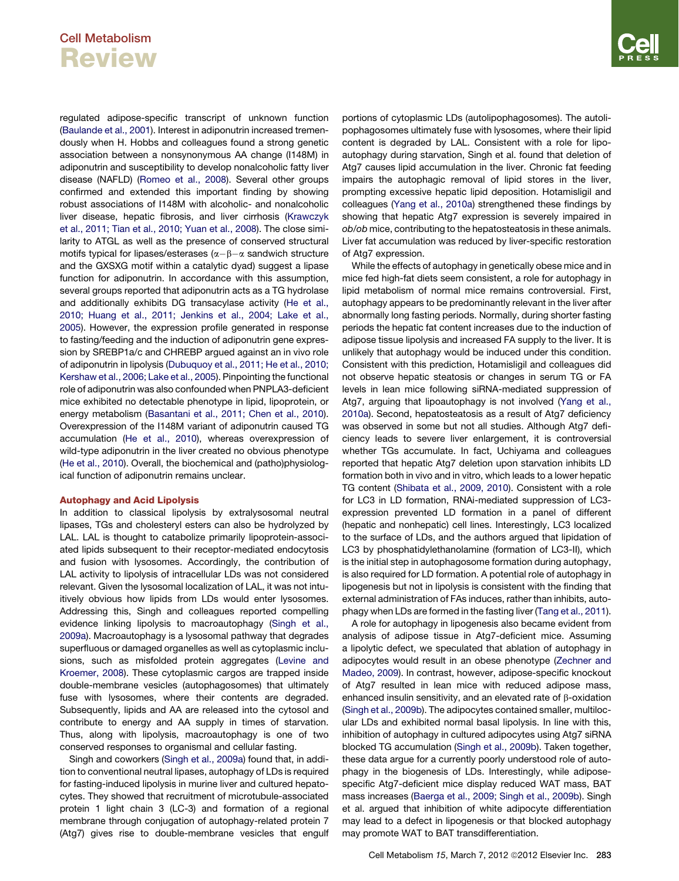regulated adipose-specific transcript of unknown function [\(Baulande et al., 2001\)](#page-9-0). Interest in adiponutrin increased tremendously when H. Hobbs and colleagues found a strong genetic association between a nonsynonymous AA change (I148M) in adiponutrin and susceptibility to develop nonalcoholic fatty liver disease (NAFLD) [\(Romeo et al., 2008](#page-11-0)). Several other groups confirmed and extended this important finding by showing robust associations of I148M with alcoholic- and nonalcoholic liver disease, hepatic fibrosis, and liver cirrhosis [\(Krawczyk](#page-10-0) [et al., 2011; Tian et al., 2010; Yuan et al., 2008\)](#page-10-0). The close similarity to ATGL as well as the presence of conserved structural motifs typical for lipases/esterases  $(\alpha-\beta-\alpha$  sandwich structure and the GXSXG motif within a catalytic dyad) suggest a lipase function for adiponutrin. In accordance with this assumption, several groups reported that adiponutrin acts as a TG hydrolase and additionally exhibits DG transacylase activity [\(He et al.,](#page-10-0) [2010; Huang et al., 2011; Jenkins et al., 2004; Lake et al.,](#page-10-0) [2005\)](#page-10-0). However, the expression profile generated in response to fasting/feeding and the induction of adiponutrin gene expression by SREBP1a/c and CHREBP argued against an in vivo role of adiponutrin in lipolysis ([Dubuquoy et al., 2011; He et al., 2010;](#page-10-0) [Kershaw et al., 2006; Lake et al., 2005\)](#page-10-0). Pinpointing the functional role of adiponutrin was also confounded when PNPLA3-deficient mice exhibited no detectable phenotype in lipid, lipoprotein, or energy metabolism [\(Basantani et al., 2011; Chen et al., 2010\)](#page-9-0). Overexpression of the I148M variant of adiponutrin caused TG accumulation [\(He et al., 2010\)](#page-10-0), whereas overexpression of wild-type adiponutrin in the liver created no obvious phenotype [\(He et al., 2010\)](#page-10-0). Overall, the biochemical and (patho)physiological function of adiponutrin remains unclear.

#### Autophagy and Acid Lipolysis

In addition to classical lipolysis by extralysosomal neutral lipases, TGs and cholesteryl esters can also be hydrolyzed by LAL. LAL is thought to catabolize primarily lipoprotein-associated lipids subsequent to their receptor-mediated endocytosis and fusion with lysosomes. Accordingly, the contribution of LAL activity to lipolysis of intracellular LDs was not considered relevant. Given the lysosomal localization of LAL, it was not intuitively obvious how lipids from LDs would enter lysosomes. Addressing this, Singh and colleagues reported compelling evidence linking lipolysis to macroautophagy ([Singh et al.,](#page-12-0) [2009a](#page-12-0)). Macroautophagy is a lysosomal pathway that degrades superfluous or damaged organelles as well as cytoplasmic inclusions, such as misfolded protein aggregates [\(Levine and](#page-11-0) [Kroemer, 2008\)](#page-11-0). These cytoplasmic cargos are trapped inside double-membrane vesicles (autophagosomes) that ultimately fuse with lysosomes, where their contents are degraded. Subsequently, lipids and AA are released into the cytosol and contribute to energy and AA supply in times of starvation. Thus, along with lipolysis, macroautophagy is one of two conserved responses to organismal and cellular fasting.

Singh and coworkers ([Singh et al., 2009a\)](#page-12-0) found that, in addition to conventional neutral lipases, autophagy of LDs is required for fasting-induced lipolysis in murine liver and cultured hepatocytes. They showed that recruitment of microtubule-associated protein 1 light chain 3 (LC-3) and formation of a regional membrane through conjugation of autophagy-related protein 7 (Atg7) gives rise to double-membrane vesicles that engulf portions of cytoplasmic LDs (autolipophagosomes). The autolipophagosomes ultimately fuse with lysosomes, where their lipid content is degraded by LAL. Consistent with a role for lipoautophagy during starvation, Singh et al. found that deletion of Atg7 causes lipid accumulation in the liver. Chronic fat feeding impairs the autophagic removal of lipid stores in the liver, prompting excessive hepatic lipid deposition. Hotamisligil and colleagues ([Yang et al., 2010a\)](#page-12-0) strengthened these findings by showing that hepatic Atg7 expression is severely impaired in *ob/ob* mice, contributing to the hepatosteatosis in these animals. Liver fat accumulation was reduced by liver-specific restoration of Atg7 expression.

While the effects of autophagy in genetically obese mice and in mice fed high-fat diets seem consistent, a role for autophagy in lipid metabolism of normal mice remains controversial. First, autophagy appears to be predominantly relevant in the liver after abnormally long fasting periods. Normally, during shorter fasting periods the hepatic fat content increases due to the induction of adipose tissue lipolysis and increased FA supply to the liver. It is unlikely that autophagy would be induced under this condition. Consistent with this prediction, Hotamisligil and colleagues did not observe hepatic steatosis or changes in serum TG or FA levels in lean mice following siRNA-mediated suppression of Atg7, arguing that lipoautophagy is not involved ([Yang et al.,](#page-12-0) [2010a](#page-12-0)). Second, hepatosteatosis as a result of Atg7 deficiency was observed in some but not all studies. Although Atg7 deficiency leads to severe liver enlargement, it is controversial whether TGs accumulate. In fact, Uchiyama and colleagues reported that hepatic Atg7 deletion upon starvation inhibits LD formation both in vivo and in vitro, which leads to a lower hepatic TG content [\(Shibata et al., 2009, 2010\)](#page-12-0). Consistent with a role for LC3 in LD formation, RNAi-mediated suppression of LC3 expression prevented LD formation in a panel of different (hepatic and nonhepatic) cell lines. Interestingly, LC3 localized to the surface of LDs, and the authors argued that lipidation of LC3 by phosphatidylethanolamine (formation of LC3-II), which is the initial step in autophagosome formation during autophagy, is also required for LD formation. A potential role of autophagy in lipogenesis but not in lipolysis is consistent with the finding that external administration of FAs induces, rather than inhibits, autophagy when LDs are formed in the fasting liver ([Tang et al., 2011\)](#page-12-0).

A role for autophagy in lipogenesis also became evident from analysis of adipose tissue in Atg7-deficient mice. Assuming a lipolytic defect, we speculated that ablation of autophagy in adipocytes would result in an obese phenotype [\(Zechner and](#page-12-0) [Madeo, 2009](#page-12-0)). In contrast, however, adipose-specific knockout of Atg7 resulted in lean mice with reduced adipose mass, enhanced insulin sensitivity, and an elevated rate of  $\beta$ -oxidation [\(Singh et al., 2009b\)](#page-12-0). The adipocytes contained smaller, multilocular LDs and exhibited normal basal lipolysis. In line with this, inhibition of autophagy in cultured adipocytes using Atg7 siRNA blocked TG accumulation ([Singh et al., 2009b\)](#page-12-0). Taken together, these data argue for a currently poorly understood role of autophagy in the biogenesis of LDs. Interestingly, while adiposespecific Atg7-deficient mice display reduced WAT mass, BAT mass increases ([Baerga et al., 2009; Singh et al., 2009b\)](#page-9-0). Singh et al. argued that inhibition of white adipocyte differentiation may lead to a defect in lipogenesis or that blocked autophagy may promote WAT to BAT transdifferentiation.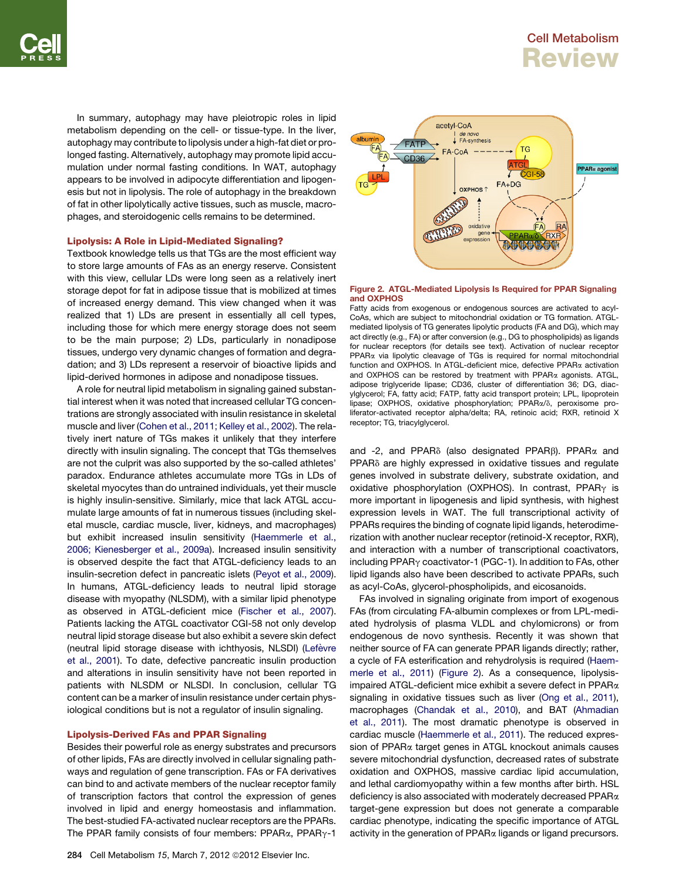In summary, autophagy may have pleiotropic roles in lipid metabolism depending on the cell- or tissue-type. In the liver, autophagy may contribute to lipolysis under a high-fat diet or prolonged fasting. Alternatively, autophagy may promote lipid accumulation under normal fasting conditions. In WAT, autophagy appears to be involved in adipocyte differentiation and lipogenesis but not in lipolysis. The role of autophagy in the breakdown of fat in other lipolytically active tissues, such as muscle, macrophages, and steroidogenic cells remains to be determined.

#### Lipolysis: A Role in Lipid-Mediated Signaling?

Textbook knowledge tells us that TGs are the most efficient way to store large amounts of FAs as an energy reserve. Consistent with this view, cellular LDs were long seen as a relatively inert storage depot for fat in adipose tissue that is mobilized at times of increased energy demand. This view changed when it was realized that 1) LDs are present in essentially all cell types, including those for which mere energy storage does not seem to be the main purpose; 2) LDs, particularly in nonadipose tissues, undergo very dynamic changes of formation and degradation; and 3) LDs represent a reservoir of bioactive lipids and lipid-derived hormones in adipose and nonadipose tissues.

A role for neutral lipid metabolism in signaling gained substantial interest when it was noted that increased cellular TG concentrations are strongly associated with insulin resistance in skeletal muscle and liver ([Cohen et al., 2011; Kelley et al., 2002\)](#page-9-0). The relatively inert nature of TGs makes it unlikely that they interfere directly with insulin signaling. The concept that TGs themselves are not the culprit was also supported by the so-called athletes' paradox. Endurance athletes accumulate more TGs in LDs of skeletal myocytes than do untrained individuals, yet their muscle is highly insulin-sensitive. Similarly, mice that lack ATGL accumulate large amounts of fat in numerous tissues (including skeletal muscle, cardiac muscle, liver, kidneys, and macrophages) but exhibit increased insulin sensitivity ([Haemmerle et al.,](#page-10-0) [2006; Kienesberger et al., 2009a](#page-10-0)). Increased insulin sensitivity is observed despite the fact that ATGL-deficiency leads to an insulin-secretion defect in pancreatic islets [\(Peyot et al., 2009](#page-11-0)). In humans, ATGL-deficiency leads to neutral lipid storage disease with myopathy (NLSDM), with a similar lipid phenotype as observed in ATGL-deficient mice ([Fischer et al., 2007](#page-10-0)). Patients lacking the ATGL coactivator CGI-58 not only develop neutral lipid storage disease but also exhibit a severe skin defect (neutral lipid storage disease with ichthyosis, NLSDI) (Lefèvre [et al., 2001](#page-11-0)). To date, defective pancreatic insulin production and alterations in insulin sensitivity have not been reported in patients with NLSDM or NLSDI. In conclusion, cellular TG content can be a marker of insulin resistance under certain physiological conditions but is not a regulator of insulin signaling.

### Lipolysis-Derived FAs and PPAR Signaling

Besides their powerful role as energy substrates and precursors of other lipids, FAs are directly involved in cellular signaling pathways and regulation of gene transcription. FAs or FA derivatives can bind to and activate members of the nuclear receptor family of transcription factors that control the expression of genes involved in lipid and energy homeostasis and inflammation. The best-studied FA-activated nuclear receptors are the PPARs. The PPAR family consists of four members:  $PPAR\alpha$ ,  $PPAR\gamma-1$ 



#### Figure 2. ATGL-Mediated Lipolysis Is Required for PPAR Signaling and OXPHOS

Fatty acids from exogenous or endogenous sources are activated to acyl-CoAs, which are subject to mitochondrial oxidation or TG formation. ATGLmediated lipolysis of TG generates lipolytic products (FA and DG), which may act directly (e.g., FA) or after conversion (e.g., DG to phospholipids) as ligands for nuclear receptors (for details see text). Activation of nuclear receptor PPAR<sub>a</sub> via lipolytic cleavage of TGs is required for normal mitochondrial function and OXPHOS. In ATGL-deficient mice, defective PPARa activation and OXPHOS can be restored by treatment with PPAR<sub>a</sub> agonists. ATGL, adipose triglyceride lipase; CD36, cluster of differentiation 36; DG, diacylglycerol; FA, fatty acid; FATP, fatty acid transport protein; LPL, lipoprotein lipase; OXPHOS, oxidative phosphorylation; PPAR<sub>a</sub>/<sub> $\delta$ </sub>, peroxisome proliferator-activated receptor alpha/delta; RA, retinoic acid; RXR, retinoid X receptor; TG, triacylglycerol.

and -2, and PPAR $\delta$  (also designated PPAR $\beta$ ). PPAR $\alpha$  and PPAR<sub>o</sub> are highly expressed in oxidative tissues and regulate genes involved in substrate delivery, substrate oxidation, and oxidative phosphorylation (OXPHOS). In contrast, PPAR $\gamma$  is more important in lipogenesis and lipid synthesis, with highest expression levels in WAT. The full transcriptional activity of PPARs requires the binding of cognate lipid ligands, heterodimerization with another nuclear receptor (retinoid-X receptor, RXR), and interaction with a number of transcriptional coactivators, including PPAR $\gamma$  coactivator-1 (PGC-1). In addition to FAs, other lipid ligands also have been described to activate PPARs, such as acyl-CoAs, glycerol-phospholipids, and eicosanoids.

FAs involved in signaling originate from import of exogenous FAs (from circulating FA-albumin complexes or from LPL-mediated hydrolysis of plasma VLDL and chylomicrons) or from endogenous de novo synthesis. Recently it was shown that neither source of FA can generate PPAR ligands directly; rather, a cycle of FA esterification and rehydrolysis is required [\(Haem](#page-10-0)[merle et al., 2011](#page-10-0)) (Figure 2). As a consequence, lipolysisimpaired ATGL-deficient mice exhibit a severe defect in PPARa signaling in oxidative tissues such as liver [\(Ong et al., 2011](#page-11-0)), macrophages ([Chandak et al., 2010](#page-9-0)), and BAT ([Ahmadian](#page-9-0) [et al., 2011](#page-9-0)). The most dramatic phenotype is observed in cardiac muscle ([Haemmerle et al., 2011\)](#page-10-0). The reduced expression of PPAR $\alpha$  target genes in ATGL knockout animals causes severe mitochondrial dysfunction, decreased rates of substrate oxidation and OXPHOS, massive cardiac lipid accumulation, and lethal cardiomyopathy within a few months after birth. HSL deficiency is also associated with moderately decreased PPARa target-gene expression but does not generate a comparable cardiac phenotype, indicating the specific importance of ATGL activity in the generation of PPARa ligands or ligand precursors.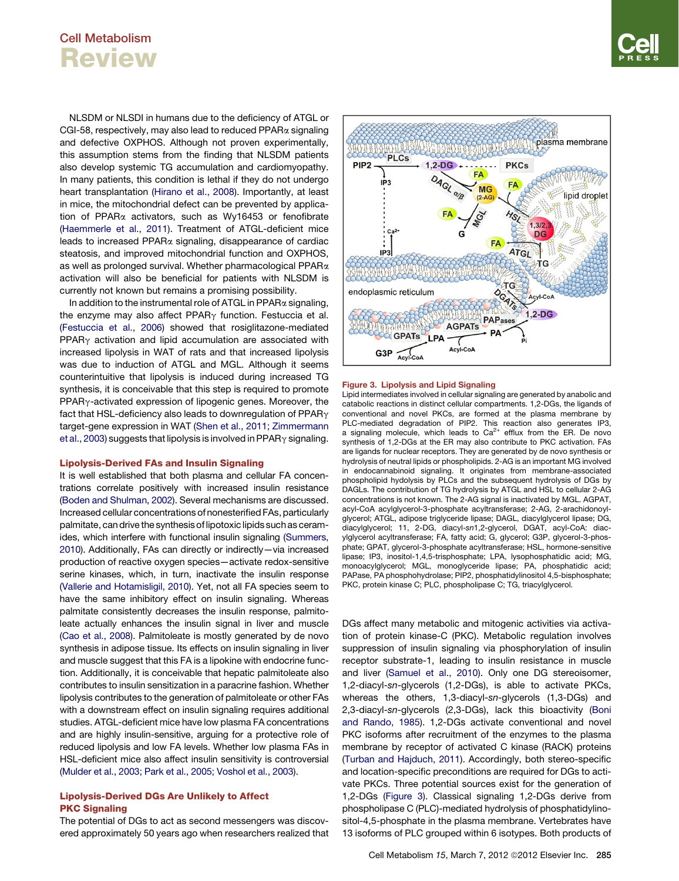<span id="page-6-0"></span>NLSDM or NLSDI in humans due to the deficiency of ATGL or CGI-58, respectively, may also lead to reduced PPARa signaling and defective OXPHOS. Although not proven experimentally, this assumption stems from the finding that NLSDM patients also develop systemic TG accumulation and cardiomyopathy. In many patients, this condition is lethal if they do not undergo heart transplantation [\(Hirano et al., 2008](#page-10-0)). Importantly, at least in mice, the mitochondrial defect can be prevented by application of PPARa activators, such as Wy16453 or fenofibrate [\(Haemmerle et al., 2011\)](#page-10-0). Treatment of ATGL-deficient mice leads to increased PPARa signaling, disappearance of cardiac steatosis, and improved mitochondrial function and OXPHOS, as well as prolonged survival. Whether pharmacological PPARa activation will also be beneficial for patients with NLSDM is currently not known but remains a promising possibility.

In addition to the instrumental role of ATGL in  $PPAR\alpha$  signaling, the enzyme may also affect PPAR $\gamma$  function. Festuccia et al. [\(Festuccia et al., 2006](#page-10-0)) showed that rosiglitazone-mediated  $PPAR<sub>Y</sub>$  activation and lipid accumulation are associated with increased lipolysis in WAT of rats and that increased lipolysis was due to induction of ATGL and MGL. Although it seems counterintuitive that lipolysis is induced during increased TG synthesis, it is conceivable that this step is required to promote  $PPAR<sub>Y</sub>$ -activated expression of lipogenic genes. Moreover, the fact that HSL-deficiency also leads to downregulation of  $PPAR<sub>Y</sub>$ target-gene expression in WAT [\(Shen et al., 2011; Zimmermann](#page-12-0) [et al., 2003](#page-12-0)) suggests that lipolysis is involved in PPAR $\gamma$  signaling.

#### Lipolysis-Derived FAs and Insulin Signaling

It is well established that both plasma and cellular FA concentrations correlate positively with increased insulin resistance [\(Boden and Shulman, 2002](#page-9-0)). Several mechanisms are discussed. Increased cellular concentrations of nonesterified FAs, particularly palmitate, can drive the synthesis of lipotoxic lipids such as ceramides, which interfere with functional insulin signaling [\(Summers,](#page-12-0) [2010\)](#page-12-0). Additionally, FAs can directly or indirectly—via increased production of reactive oxygen species—activate redox-sensitive serine kinases, which, in turn, inactivate the insulin response [\(Vallerie and Hotamisligil, 2010\)](#page-12-0). Yet, not all FA species seem to have the same inhibitory effect on insulin signaling. Whereas palmitate consistently decreases the insulin response, palmitoleate actually enhances the insulin signal in liver and muscle [\(Cao et al., 2008\)](#page-9-0). Palmitoleate is mostly generated by de novo synthesis in adipose tissue. Its effects on insulin signaling in liver and muscle suggest that this FA is a lipokine with endocrine function. Additionally, it is conceivable that hepatic palmitoleate also contributes to insulin sensitization in a paracrine fashion. Whether lipolysis contributes to the generation of palmitoleate or other FAs with a downstream effect on insulin signaling requires additional studies. ATGL-deficient mice have low plasma FA concentrations and are highly insulin-sensitive, arguing for a protective role of reduced lipolysis and low FA levels. Whether low plasma FAs in HSL-deficient mice also affect insulin sensitivity is controversial [\(Mulder et al., 2003; Park et al., 2005; Voshol et al., 2003\)](#page-11-0).

### Lipolysis-Derived DGs Are Unlikely to Affect **PKC Signaling**

The potential of DGs to act as second messengers was discovered approximately 50 years ago when researchers realized that



#### Figure 3. Lipolysis and Lipid Signaling

Lipid intermediates involved in cellular signaling are generated by anabolic and catabolic reactions in distinct cellular compartments. 1,2-DGs, the ligands of conventional and novel PKCs, are formed at the plasma membrane by PLC-mediated degradation of PIP2. This reaction also generates IP3, a signaling molecule, which leads to  $Ca<sup>2+</sup>$  efflux from the ER. De novo synthesis of 1,2-DGs at the ER may also contribute to PKC activation. FAs are ligands for nuclear receptors. They are generated by de novo synthesis or hydrolysis of neutral lipids or phospholipids. 2-AG is an important MG involved in endocannabinoid signaling. It originates from membrane-associated phospholipid hydolysis by PLCs and the subsequent hydrolysis of DGs by DAGLs. The contribution of TG hydrolysis by ATGL and HSL to cellular 2-AG concentrations is not known. The 2-AG signal is inactivated by MGL. AGPAT, acyl-CoA acylglycerol-3-phosphate acyltransferase; 2-AG, 2-arachidonoylglycerol; ATGL, adipose triglyceride lipase; DAGL, diacylglycerol lipase; DG, diacylglycerol; 11, 2-DG, diacyl-*sn*1,2-glycerol, DGAT, acyl-CoA: diacylglycerol acyltransferase; FA, fatty acid; G, glycerol; G3P, glycerol-3-phosphate; GPAT, glycerol-3-phosphate acyltransferase; HSL, hormone-sensitive lipase; IP3, inositol-1,4,5-trisphosphate; LPA, lysophosphatidic acid; MG, monoacylglycerol; MGL, monoglyceride lipase; PA, phosphatidic acid; PAPase, PA phosphohydrolase; PIP2, phosphatidylinositol 4,5-bisphosphate; PKC, protein kinase C; PLC, phospholipase C; TG, triacylglycerol.

DGs affect many metabolic and mitogenic activities via activation of protein kinase-C (PKC). Metabolic regulation involves suppression of insulin signaling via phosphorylation of insulin receptor substrate-1, leading to insulin resistance in muscle and liver [\(Samuel et al., 2010\)](#page-11-0). Only one DG stereoisomer, 1,2-diacyl-*sn*-glycerols (1,2-DGs), is able to activate PKCs, whereas the others, 1,3-diacyl-*sn*-glycerols (1,3-DGs) and 2,3-diacyl-*sn*-glycerols (2,3-DGs), lack this bioactivity [\(Boni](#page-9-0) [and Rando, 1985](#page-9-0)). 1,2-DGs activate conventional and novel PKC isoforms after recruitment of the enzymes to the plasma membrane by receptor of activated C kinase (RACK) proteins (Turban [and Hajduch, 2011\)](#page-12-0). Accordingly, both stereo-specific and location-specific preconditions are required for DGs to activate PKCs. Three potential sources exist for the generation of 1,2-DGs (Figure 3). Classical signaling 1,2-DGs derive from phospholipase C (PLC)-mediated hydrolysis of phosphatidylinositol-4,5-phosphate in the plasma membrane. Vertebrates have 13 isoforms of PLC grouped within 6 isotypes. Both products of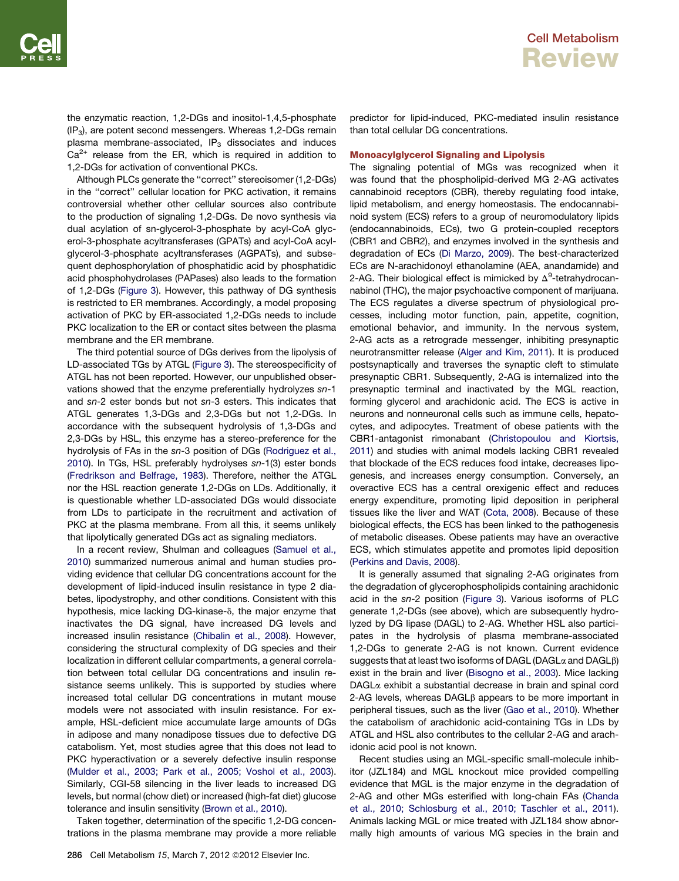the enzymatic reaction, 1,2-DGs and inositol-1,4,5-phosphate (IP<sub>3</sub>), are potent second messengers. Whereas 1,2-DGs remain plasma membrane-associated,  $IP_3$  dissociates and induces  $Ca<sup>2+</sup>$  release from the ER, which is required in addition to 1,2-DGs for activation of conventional PKCs.

Although PLCs generate the ''correct'' stereoisomer (1,2-DGs) in the ''correct'' cellular location for PKC activation, it remains controversial whether other cellular sources also contribute to the production of signaling 1,2-DGs. De novo synthesis via dual acylation of sn-glycerol-3-phosphate by acyl-CoA glycerol-3-phosphate acyltransferases (GPATs) and acyl-CoA acylglycerol-3-phosphate acyltransferases (AGPATs), and subsequent dephosphorylation of phosphatidic acid by phosphatidic acid phosphohydrolases (PAPases) also leads to the formation of 1,2-DGs [\(Figure 3\)](#page-6-0). However, this pathway of DG synthesis is restricted to ER membranes. Accordingly, a model proposing activation of PKC by ER-associated 1,2-DGs needs to include PKC localization to the ER or contact sites between the plasma membrane and the ER membrane.

The third potential source of DGs derives from the lipolysis of LD-associated TGs by ATGL [\(Figure 3\)](#page-6-0). The stereospecificity of ATGL has not been reported. However, our unpublished observations showed that the enzyme preferentially hydrolyzes *sn*-1 and *sn*-2 ester bonds but not *sn*-3 esters. This indicates that ATGL generates 1,3-DGs and 2,3-DGs but not 1,2-DGs. In accordance with the subsequent hydrolysis of 1,3-DGs and 2,3-DGs by HSL, this enzyme has a stereo-preference for the hydrolysis of FAs in the *sn*-3 position of DGs [\(Rodriguez et al.,](#page-11-0) [2010](#page-11-0)). In TGs, HSL preferably hydrolyses *sn*-1(3) ester bonds ([Fredrikson and Belfrage, 1983\)](#page-10-0). Therefore, neither the ATGL nor the HSL reaction generate 1,2-DGs on LDs. Additionally, it is questionable whether LD-associated DGs would dissociate from LDs to participate in the recruitment and activation of PKC at the plasma membrane. From all this, it seems unlikely that lipolytically generated DGs act as signaling mediators.

In a recent review, Shulman and colleagues [\(Samuel et al.,](#page-11-0) [2010](#page-11-0)) summarized numerous animal and human studies providing evidence that cellular DG concentrations account for the development of lipid-induced insulin resistance in type 2 diabetes, lipodystrophy, and other conditions. Consistent with this hypothesis, mice lacking DG-kinase- $\delta$ , the major enzyme that inactivates the DG signal, have increased DG levels and increased insulin resistance ([Chibalin et al., 2008](#page-9-0)). However, considering the structural complexity of DG species and their localization in different cellular compartments, a general correlation between total cellular DG concentrations and insulin resistance seems unlikely. This is supported by studies where increased total cellular DG concentrations in mutant mouse models were not associated with insulin resistance. For example, HSL-deficient mice accumulate large amounts of DGs in adipose and many nonadipose tissues due to defective DG catabolism. Yet, most studies agree that this does not lead to PKC hyperactivation or a severely defective insulin response ([Mulder et al., 2003; Park et al., 2005; Voshol et al., 2003](#page-11-0)). Similarly, CGI-58 silencing in the liver leads to increased DG levels, but normal (chow diet) or increased (high-fat diet) glucose tolerance and insulin sensitivity ([Brown et al., 2010\)](#page-9-0).

Taken together, determination of the specific 1,2-DG concentrations in the plasma membrane may provide a more reliable predictor for lipid-induced, PKC-mediated insulin resistance than total cellular DG concentrations.

#### Monoacylglycerol Signaling and Lipolysis

The signaling potential of MGs was recognized when it was found that the phospholipid-derived MG 2-AG activates cannabinoid receptors (CBR), thereby regulating food intake, lipid metabolism, and energy homeostasis. The endocannabinoid system (ECS) refers to a group of neuromodulatory lipids (endocannabinoids, ECs), two G protein-coupled receptors (CBR1 and CBR2), and enzymes involved in the synthesis and degradation of ECs ([Di Marzo, 2009\)](#page-9-0). The best-characterized ECs are N-arachidonoyl ethanolamine (AEA, anandamide) and 2-AG. Their biological effect is mimicked by  $\Delta^9$ -tetrahydrocannabinol (THC), the major psychoactive component of marijuana. The ECS regulates a diverse spectrum of physiological processes, including motor function, pain, appetite, cognition, emotional behavior, and immunity. In the nervous system, 2-AG acts as a retrograde messenger, inhibiting presynaptic neurotransmitter release [\(Alger and Kim, 2011](#page-9-0)). It is produced postsynaptically and traverses the synaptic cleft to stimulate presynaptic CBR1. Subsequently, 2-AG is internalized into the presynaptic terminal and inactivated by the MGL reaction, forming glycerol and arachidonic acid. The ECS is active in neurons and nonneuronal cells such as immune cells, hepatocytes, and adipocytes. Treatment of obese patients with the CBR1-antagonist rimonabant ([Christopoulou and Kiortsis,](#page-9-0) [2011\)](#page-9-0) and studies with animal models lacking CBR1 revealed that blockade of the ECS reduces food intake, decreases lipogenesis, and increases energy consumption. Conversely, an overactive ECS has a central orexigenic effect and reduces energy expenditure, promoting lipid deposition in peripheral tissues like the liver and WAT ([Cota, 2008](#page-9-0)). Because of these biological effects, the ECS has been linked to the pathogenesis of metabolic diseases. Obese patients may have an overactive ECS, which stimulates appetite and promotes lipid deposition [\(Perkins and Davis, 2008\)](#page-11-0).

It is generally assumed that signaling 2-AG originates from the degradation of glycerophospholipids containing arachidonic acid in the *sn*-2 position [\(Figure 3\)](#page-6-0). Various isoforms of PLC generate 1,2-DGs (see above), which are subsequently hydrolyzed by DG lipase (DAGL) to 2-AG. Whether HSL also participates in the hydrolysis of plasma membrane-associated 1,2-DGs to generate 2-AG is not known. Current evidence suggests that at least two isoforms of DAGL (DAGL $\alpha$  and DAGL $\beta$ ) exist in the brain and liver [\(Bisogno et al., 2003\)](#page-9-0). Mice lacking  $DAGL\alpha$  exhibit a substantial decrease in brain and spinal cord 2-AG levels, whereas  $DAGL\beta$  appears to be more important in peripheral tissues, such as the liver ([Gao et al., 2010\)](#page-10-0). Whether the catabolism of arachidonic acid-containing TGs in LDs by ATGL and HSL also contributes to the cellular 2-AG and arachidonic acid pool is not known.

Recent studies using an MGL-specific small-molecule inhibitor (JZL184) and MGL knockout mice provided compelling evidence that MGL is the major enzyme in the degradation of 2-AG and other MGs esterified with long-chain FAs [\(Chanda](#page-9-0) [et al., 2010; Schlosburg et al., 2010; Taschler et al., 2011](#page-9-0)). Animals lacking MGL or mice treated with JZL184 show abnormally high amounts of various MG species in the brain and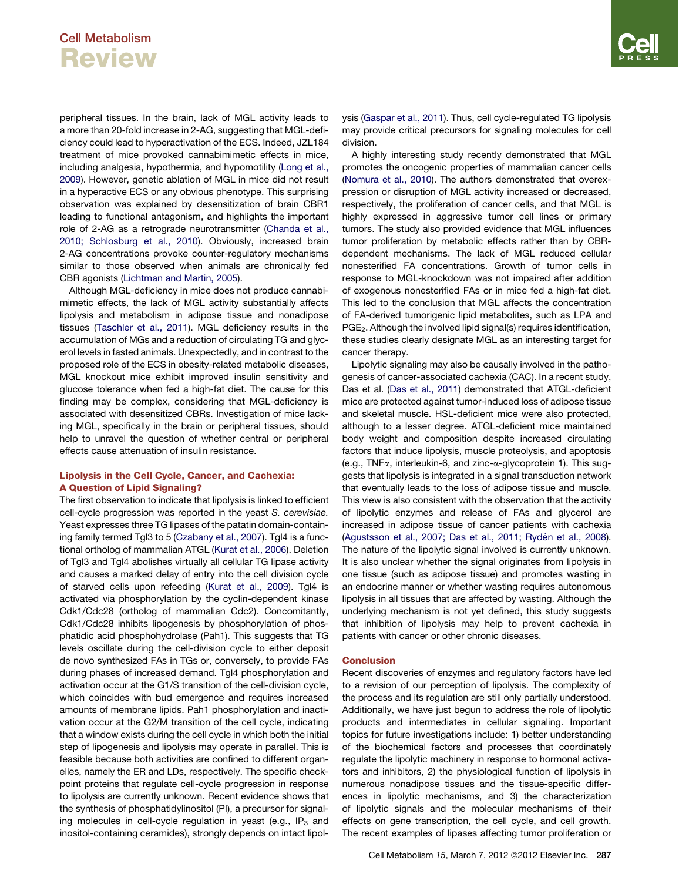peripheral tissues. In the brain, lack of MGL activity leads to a more than 20-fold increase in 2-AG, suggesting that MGL-deficiency could lead to hyperactivation of the ECS. Indeed, JZL184 treatment of mice provoked cannabimimetic effects in mice, including analgesia, hypothermia, and hypomotility ([Long et al.,](#page-11-0) [2009\)](#page-11-0). However, genetic ablation of MGL in mice did not result in a hyperactive ECS or any obvious phenotype. This surprising observation was explained by desensitization of brain CBR1 leading to functional antagonism, and highlights the important role of 2-AG as a retrograde neurotransmitter ([Chanda et al.,](#page-9-0) [2010; Schlosburg et al., 2010\)](#page-9-0). Obviously, increased brain 2-AG concentrations provoke counter-regulatory mechanisms similar to those observed when animals are chronically fed CBR agonists ([Lichtman and Martin, 2005](#page-11-0)).

Although MGL-deficiency in mice does not produce cannabimimetic effects, the lack of MGL activity substantially affects lipolysis and metabolism in adipose tissue and nonadipose tissues ([Taschler et al., 2011](#page-12-0)). MGL deficiency results in the accumulation of MGs and a reduction of circulating TG and glycerol levels in fasted animals. Unexpectedly, and in contrast to the proposed role of the ECS in obesity-related metabolic diseases, MGL knockout mice exhibit improved insulin sensitivity and glucose tolerance when fed a high-fat diet. The cause for this finding may be complex, considering that MGL-deficiency is associated with desensitized CBRs. Investigation of mice lacking MGL, specifically in the brain or peripheral tissues, should help to unravel the question of whether central or peripheral effects cause attenuation of insulin resistance.

### Lipolysis in the Cell Cycle, Cancer, and Cachexia: A Question of Lipid Signaling?

The first observation to indicate that lipolysis is linked to efficient cell-cycle progression was reported in the yeast *S. cerevisiae.* Yeast expresses three TG lipases of the patatin domain-containing family termed Tgl3 to 5 [\(Czabany et al., 2007\)](#page-9-0). Tgl4 is a functional ortholog of mammalian ATGL [\(Kurat et al., 2006](#page-10-0)). Deletion of Tgl3 and Tgl4 abolishes virtually all cellular TG lipase activity and causes a marked delay of entry into the cell division cycle of starved cells upon refeeding [\(Kurat et al., 2009](#page-10-0)). Tgl4 is activated via phosphorylation by the cyclin-dependent kinase Cdk1/Cdc28 (ortholog of mammalian Cdc2). Concomitantly, Cdk1/Cdc28 inhibits lipogenesis by phosphorylation of phosphatidic acid phosphohydrolase (Pah1). This suggests that TG levels oscillate during the cell-division cycle to either deposit de novo synthesized FAs in TGs or, conversely, to provide FAs during phases of increased demand. Tgl4 phosphorylation and activation occur at the G1/S transition of the cell-division cycle, which coincides with bud emergence and requires increased amounts of membrane lipids. Pah1 phosphorylation and inactivation occur at the G2/M transition of the cell cycle, indicating that a window exists during the cell cycle in which both the initial step of lipogenesis and lipolysis may operate in parallel. This is feasible because both activities are confined to different organelles, namely the ER and LDs, respectively. The specific checkpoint proteins that regulate cell-cycle progression in response to lipolysis are currently unknown. Recent evidence shows that the synthesis of phosphatidylinositol (PI), a precursor for signaling molecules in cell-cycle regulation in yeast (e.g.,  $IP_3$  and inositol-containing ceramides), strongly depends on intact lipolysis [\(Gaspar et al., 2011](#page-10-0)). Thus, cell cycle-regulated TG lipolysis may provide critical precursors for signaling molecules for cell division.

A highly interesting study recently demonstrated that MGL promotes the oncogenic properties of mammalian cancer cells [\(Nomura et al., 2010\)](#page-11-0). The authors demonstrated that overexpression or disruption of MGL activity increased or decreased, respectively, the proliferation of cancer cells, and that MGL is highly expressed in aggressive tumor cell lines or primary tumors. The study also provided evidence that MGL influences tumor proliferation by metabolic effects rather than by CBRdependent mechanisms. The lack of MGL reduced cellular nonesterified FA concentrations. Growth of tumor cells in response to MGL-knockdown was not impaired after addition of exogenous nonesterified FAs or in mice fed a high-fat diet. This led to the conclusion that MGL affects the concentration of FA-derived tumorigenic lipid metabolites, such as LPA and PGE<sub>2</sub>. Although the involved lipid signal(s) requires identification, these studies clearly designate MGL as an interesting target for cancer therapy.

Lipolytic signaling may also be causally involved in the pathogenesis of cancer-associated cachexia (CAC). In a recent study, Das et al. [\(Das et al., 2011](#page-9-0)) demonstrated that ATGL-deficient mice are protected against tumor-induced loss of adipose tissue and skeletal muscle. HSL-deficient mice were also protected, although to a lesser degree. ATGL-deficient mice maintained body weight and composition despite increased circulating factors that induce lipolysis, muscle proteolysis, and apoptosis (e.g., TNFa, interleukin-6, and zinc-a-glycoprotein 1). This suggests that lipolysis is integrated in a signal transduction network that eventually leads to the loss of adipose tissue and muscle. This view is also consistent with the observation that the activity of lipolytic enzymes and release of FAs and glycerol are increased in adipose tissue of cancer patients with cachexia (Agustsson et al., 2007; Das et al., 2011; Rydén et al., 2008). The nature of the lipolytic signal involved is currently unknown. It is also unclear whether the signal originates from lipolysis in one tissue (such as adipose tissue) and promotes wasting in an endocrine manner or whether wasting requires autonomous lipolysis in all tissues that are affected by wasting. Although the underlying mechanism is not yet defined, this study suggests that inhibition of lipolysis may help to prevent cachexia in patients with cancer or other chronic diseases.

### **Conclusion**

Recent discoveries of enzymes and regulatory factors have led to a revision of our perception of lipolysis. The complexity of the process and its regulation are still only partially understood. Additionally, we have just begun to address the role of lipolytic products and intermediates in cellular signaling. Important topics for future investigations include: 1) better understanding of the biochemical factors and processes that coordinately regulate the lipolytic machinery in response to hormonal activators and inhibitors, 2) the physiological function of lipolysis in numerous nonadipose tissues and the tissue-specific differences in lipolytic mechanisms, and 3) the characterization of lipolytic signals and the molecular mechanisms of their effects on gene transcription, the cell cycle, and cell growth. The recent examples of lipases affecting tumor proliferation or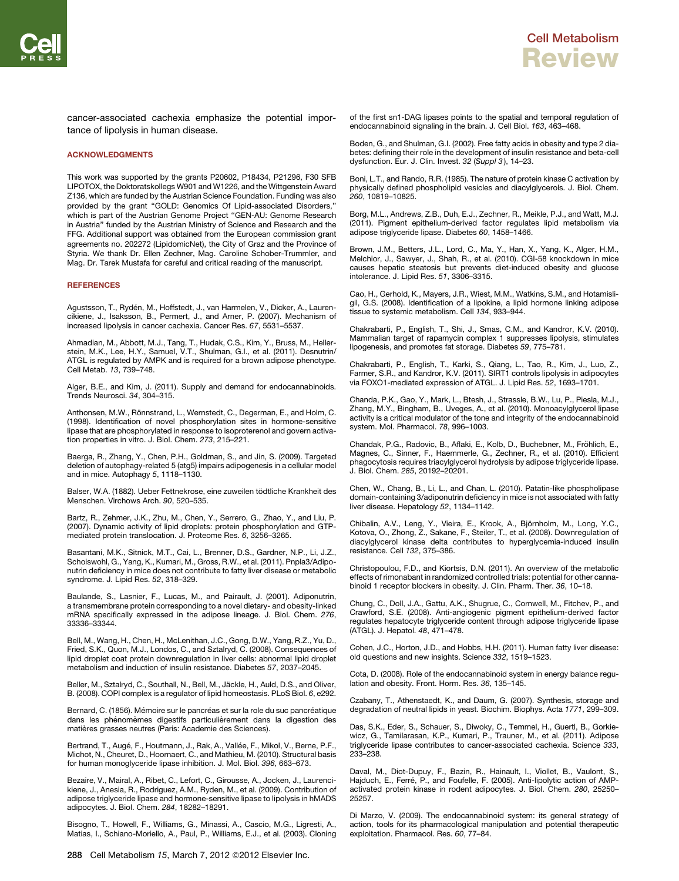

<span id="page-9-0"></span>cancer-associated cachexia emphasize the potential importance of lipolysis in human disease.

#### ACKNOWLEDGMENTS

This work was supported by the grants P20602, P18434, P21296, F30 SFB LIPOTOX, the Doktoratskollegs W901 and W1226, and the Wittgenstein Award Z136, which are funded by the Austrian Science Foundation. Funding was also provided by the grant ''GOLD: Genomics Of Lipid-associated Disorders,'' which is part of the Austrian Genome Project ''GEN-AU: Genome Research in Austria'' funded by the Austrian Ministry of Science and Research and the FFG. Additional support was obtained from the European commission grant agreements no. 202272 (LipidomicNet), the City of Graz and the Province of Styria. We thank Dr. Ellen Zechner, Mag. Caroline Schober-Trummler, and Mag. Dr. Tarek Mustafa for careful and critical reading of the manuscript.

#### **REFERENCES**

Agustsson, T., Rydén, M., Hoffstedt, J., van Harmelen, V., Dicker, A., Laurencikiene, J., Isaksson, B., Permert, J., and Arner, P. (2007). Mechanism of increased lipolysis in cancer cachexia. Cancer Res. *67*, 5531–5537.

Ahmadian, M., Abbott, M.J., Tang, T., Hudak, C.S., Kim, Y., Bruss, M., Hellerstein, M.K., Lee, H.Y., Samuel, V.T., Shulman, G.I., et al. (2011). Desnutrin/ ATGL is regulated by AMPK and is required for a brown adipose phenotype. Cell Metab. *13*, 739–748.

Alger, B.E., and Kim, J. (2011). Supply and demand for endocannabinoids. Trends Neurosci. *34*, 304–315.

Anthonsen, M.W., Rönnstrand, L., Wernstedt, C., Degerman, E., and Holm, C. (1998). Identification of novel phosphorylation sites in hormone-sensitive lipase that are phosphorylated in response to isoproterenol and govern activation properties in vitro. J. Biol. Chem. *273*, 215–221.

Baerga, R., Zhang, Y., Chen, P.H., Goldman, S., and Jin, S. (2009). Targeted deletion of autophagy-related 5 (atg5) impairs adipogenesis in a cellular model and in mice. Autophagy *5*, 1118–1130.

Balser, W.A. (1882). Ueber Fettnekrose, eine zuweilen tödtliche Krankheit des Menschen. Virchows Arch. *90*, 520–535.

Bartz, R., Zehmer, J.K., Zhu, M., Chen, Y., Serrero, G., Zhao, Y., and Liu, P. (2007). Dynamic activity of lipid droplets: protein phosphorylation and GTPmediated protein translocation. J. Proteome Res. *6*, 3256–3265.

Basantani, M.K., Sitnick, M.T., Cai, L., Brenner, D.S., Gardner, N.P., Li, J.Z., Schoiswohl, G., Yang, K., Kumari, M., Gross, R.W., et al. (2011). Pnpla3/Adiponutrin deficiency in mice does not contribute to fatty liver disease or metabolic syndrome. J. Lipid Res. *52*, 318–329.

Baulande, S., Lasnier, F., Lucas, M., and Pairault, J. (2001). Adiponutrin, a transmembrane protein corresponding to a novel dietary- and obesity-linked mRNA specifically expressed in the adipose lineage. J. Biol. Chem. *276*, 33336–33344.

Bell, M., Wang, H., Chen, H., McLenithan, J.C., Gong, D.W., Yang, R.Z., Yu, D., Fried, S.K., Quon, M.J., Londos, C., and Sztalryd, C. (2008). Consequences of lipid droplet coat protein downregulation in liver cells: abnormal lipid droplet metabolism and induction of insulin resistance. Diabetes *57*, 2037–2045.

Beller, M., Sztalryd, C., Southall, N., Bell, M., Jäckle, H., Auld, D.S., and Oliver, B. (2008). COPI complex is a regulator of lipid homeostasis. PLoS Biol. *6*, e292.

Bernard, C. (1856). Mémoire sur le pancréas et sur la role du suc pancréatique dans les phénomèmes digestifs particulièrement dans la digestion des matières grasses neutres (Paris: Academie des Sciences).

Bertrand, T., Augé, F., Houtmann, J., Rak, A., Vallée, F., Mikol, V., Berne, P.F., Michot, N., Cheuret, D., Hoornaert, C., and Mathieu, M. (2010). Structural basis for human monoglyceride lipase inhibition. J. Mol. Biol. *396*, 663–673.

Bezaire, V., Mairal, A., Ribet, C., Lefort, C., Girousse, A., Jocken, J., Laurencikiene, J., Anesia, R., Rodriguez, A.M., Ryden, M., et al. (2009). Contribution of adipose triglyceride lipase and hormone-sensitive lipase to lipolysis in hMADS adipocytes. J. Biol. Chem. *284*, 18282–18291.

Bisogno, T., Howell, F., Williams, G., Minassi, A., Cascio, M.G., Ligresti, A., Matias, I., Schiano-Moriello, A., Paul, P., Williams, E.J., et al. (2003). Cloning

288 Cell Metabolism 15, March 7, 2012 ©2012 Elsevier Inc.

of the first sn1-DAG lipases points to the spatial and temporal regulation of endocannabinoid signaling in the brain. J. Cell Biol. *163*, 463–468.

Boden, G., and Shulman, G.I. (2002). Free fatty acids in obesity and type 2 diabetes: defining their role in the development of insulin resistance and beta-cell dysfunction. Eur. J. Clin. Invest. *32* (*Suppl 3* ), 14–23.

Boni, L.T., and Rando, R.R. (1985). The nature of protein kinase C activation by physically defined phospholipid vesicles and diacylglycerols. J. Biol. Chem. *260*, 10819–10825.

Borg, M.L., Andrews, Z.B., Duh, E.J., Zechner, R., Meikle, P.J., and Watt, M.J. (2011). Pigment epithelium-derived factor regulates lipid metabolism via adipose triglyceride lipase. Diabetes *60*, 1458–1466.

Brown, J.M., Betters, J.L., Lord, C., Ma, Y., Han, X., Yang, K., Alger, H.M., Melchior, J., Sawyer, J., Shah, R., et al. (2010). CGI-58 knockdown in mice causes hepatic steatosis but prevents diet-induced obesity and glucose intolerance. J. Lipid Res. *51*, 3306–3315.

Cao, H., Gerhold, K., Mayers, J.R., Wiest, M.M., Watkins, S.M., and Hotamisligil, G.S. (2008). Identification of a lipokine, a lipid hormone linking adipose tissue to systemic metabolism. Cell *134*, 933–944.

Chakrabarti, P., English, T., Shi, J., Smas, C.M., and Kandror, K.V. (2010). Mammalian target of rapamycin complex 1 suppresses lipolysis, stimulates lipogenesis, and promotes fat storage. Diabetes *59*, 775–781.

Chakrabarti, P., English, T., Karki, S., Qiang, L., Tao, R., Kim, J., Luo, Z., Farmer, S.R., and Kandror, K.V. (2011). SIRT1 controls lipolysis in adipocytes via FOXO1-mediated expression of ATGL. J. Lipid Res. *52*, 1693–1701.

Chanda, P.K., Gao, Y., Mark, L., Btesh, J., Strassle, B.W., Lu, P., Piesla, M.J., Zhang, M.Y., Bingham, B., Uveges, A., et al. (2010). Monoacylglycerol lipase activity is a critical modulator of the tone and integrity of the endocannabinoid system. Mol. Pharmacol. *78*, 996–1003.

Chandak, P.G., Radovic, B., Aflaki, E., Kolb, D., Buchebner, M., Fröhlich, E.,<br>Magnes, C., Sinner, F., Haemmerle, G., Zechner, R., et al. (2010). Efficient phagocytosis requires triacylglycerol hydrolysis by adipose triglyceride lipase. J. Biol. Chem. *285*, 20192–20201.

Chen, W., Chang, B., Li, L., and Chan, L. (2010). Patatin-like phospholipase domain-containing 3/adiponutrin deficiency in mice is not associated with fatty liver disease. Hepatology *52*, 1134–1142.

Chibalin, A.V., Leng, Y., Vieira, E., Krook, A., Björnholm, M., Long, Y.C.,<br>Kotova, O., Zhong, Z., Sakane, F., Steiler, T., et al. (2008). Downregulation of diacylglycerol kinase delta contributes to hyperglycemia-induced insulin resistance. Cell *132*, 375–386.

Christopoulou, F.D., and Kiortsis, D.N. (2011). An overview of the metabolic effects of rimonabant in randomized controlled trials: potential for other cannabinoid 1 receptor blockers in obesity. J. Clin. Pharm. Ther. *36*, 10–18.

Chung, C., Doll, J.A., Gattu, A.K., Shugrue, C., Cornwell, M., Fitchev, P., and Crawford, S.E. (2008). Anti-angiogenic pigment epithelium-derived factor regulates hepatocyte triglyceride content through adipose triglyceride lipase (ATGL). J. Hepatol. *48*, 471–478.

Cohen, J.C., Horton, J.D., and Hobbs, H.H. (2011). Human fatty liver disease: old questions and new insights. Science *332*, 1519–1523.

Cota, D. (2008). Role of the endocannabinoid system in energy balance regulation and obesity. Front. Horm. Res. *36*, 135–145.

Czabany, T., Athenstaedt, K., and Daum, G. (2007). Synthesis, storage and degradation of neutral lipids in yeast. Biochim. Biophys. Acta *1771*, 299–309.

Das, S.K., Eder, S., Schauer, S., Diwoky, C., Temmel, H., Guertl, B., Gorkiewicz, G., Tamilarasan, K.P., Kumari, P., Trauner, M., et al. (2011). Adipose triglyceride lipase contributes to cancer-associated cachexia. Science *333*, 233–238.

Daval, M., Diot-Dupuy, F., Bazin, R., Hainault, I., Viollet, B., Vaulont, S., Hajduch, E., Ferré, P., and Foufelle, F. (2005). Anti-lipolytic action of AMPactivated protein kinase in rodent adipocytes. J. Biol. Chem. *280*, 25250– 25257.

Di Marzo, V. (2009). The endocannabinoid system: its general strategy of action, tools for its pharmacological manipulation and potential therapeutic exploitation. Pharmacol. Res. *60*, 77–84.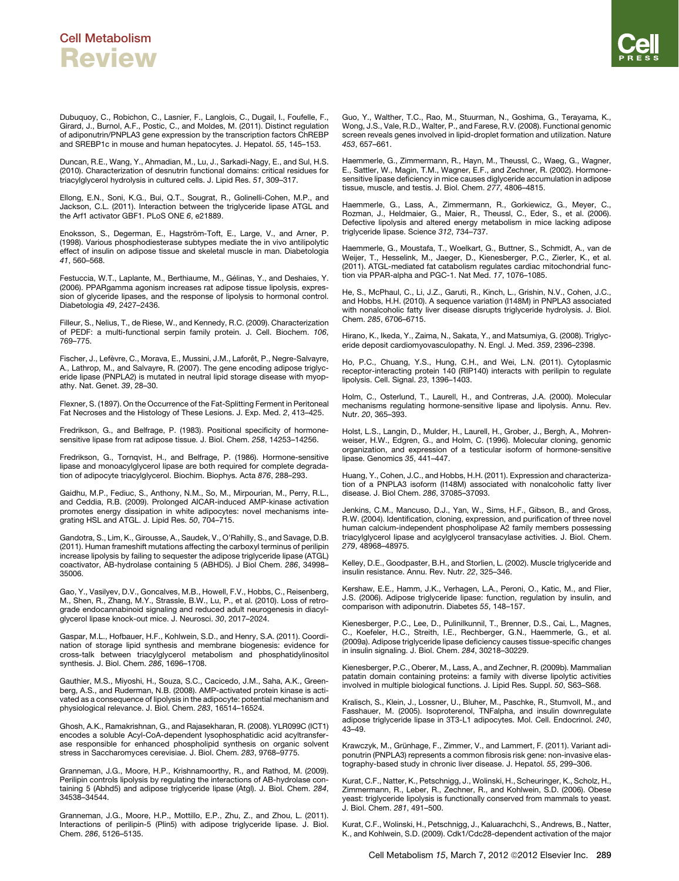<span id="page-10-0"></span>Dubuquoy, C., Robichon, C., Lasnier, F., Langlois, C., Dugail, I., Foufelle, F., Girard, J., Burnol, A.F., Postic, C., and Moldes, M. (2011). Distinct regulation of adiponutrin/PNPLA3 gene expression by the transcription factors ChREBP and SREBP1c in mouse and human hepatocytes. J. Hepatol. *55*, 145–153.

Duncan, R.E., Wang, Y., Ahmadian, M., Lu, J., Sarkadi-Nagy, E., and Sul, H.S. (2010). Characterization of desnutrin functional domains: critical residues for triacylglycerol hydrolysis in cultured cells. J. Lipid Res. *51*, 309–317.

Ellong, E.N., Soni, K.G., Bui, Q.T., Sougrat, R., Golinelli-Cohen, M.P., and Jackson, C.L. (2011). Interaction between the triglyceride lipase ATGL and the Arf1 activator GBF1. PLoS ONE *6*, e21889.

Enoksson, S., Degerman, E., Hagström-Toft, E., Large, V., and Arner, P. (1998). Various phosphodiesterase subtypes mediate the in vivo antilipolytic effect of insulin on adipose tissue and skeletal muscle in man. Diabetologia *41*, 560–568.

Festuccia, W.T., Laplante, M., Berthiaume, M., Gélinas, Y., and Deshaies, Y. (2006). PPARgamma agonism increases rat adipose tissue lipolysis, expression of glyceride lipases, and the response of lipolysis to hormonal control. Diabetologia *49*, 2427–2436.

Filleur, S., Nelius, T., de Riese, W., and Kennedy, R.C. (2009). Characterization of PEDF: a multi-functional serpin family protein. J. Cell. Biochem. *106*, 769–775.

Fischer, J., Lefèvre, C., Morava, E., Mussini, J.M., Laforêt, P., Negre-Salvayre, A., Lathrop, M., and Salvayre, R. (2007). The gene encoding adipose triglyceride lipase (PNPLA2) is mutated in neutral lipid storage disease with myopathy. Nat. Genet. *39*, 28–30.

Flexner, S. (1897). On the Occurrence of the Fat-Splitting Ferment in Peritoneal Fat Necroses and the Histology of These Lesions. J. Exp. Med. *2*, 413–425.

Fredrikson, G., and Belfrage, P. (1983). Positional specificity of hormonesensitive lipase from rat adipose tissue. J. Biol. Chem. *258*, 14253–14256.

Fredrikson, G., Tornqvist, H., and Belfrage, P. (1986). Hormone-sensitive lipase and monoacylglycerol lipase are both required for complete degradation of adipocyte triacylglycerol. Biochim. Biophys. Acta *876*, 288–293.

Gaidhu, M.P., Fediuc, S., Anthony, N.M., So, M., Mirpourian, M., Perry, R.L., and Ceddia, R.B. (2009). Prolonged AICAR-induced AMP-kinase activation promotes energy dissipation in white adipocytes: novel mechanisms integrating HSL and ATGL. J. Lipid Res. *50*, 704–715.

Gandotra, S., Lim, K., Girousse, A., Saudek, V., O'Rahilly, S., and Savage, D.B. (2011). Human frameshift mutations affecting the carboxyl terminus of perilipin increase lipolysis by failing to sequester the adipose triglyceride lipase (ATGL) coactivator, AB-hydrolase containing 5 (ABHD5). J Biol Chem. *286*, 34998– 35006.

Gao, Y., Vasilyev, D.V., Goncalves, M.B., Howell, F.V., Hobbs, C., Reisenberg, M., Shen, R., Zhang, M.Y., Strassle, B.W., Lu, P., et al. (2010). Loss of retrograde endocannabinoid signaling and reduced adult neurogenesis in diacylglycerol lipase knock-out mice. J. Neurosci. *30*, 2017–2024.

Gaspar, M.L., Hofbauer, H.F., Kohlwein, S.D., and Henry, S.A. (2011). Coordination of storage lipid synthesis and membrane biogenesis: evidence for cross-talk between triacylglycerol metabolism and phosphatidylinositol synthesis. J. Biol. Chem. *286*, 1696–1708.

Gauthier, M.S., Miyoshi, H., Souza, S.C., Cacicedo, J.M., Saha, A.K., Greenberg, A.S., and Ruderman, N.B. (2008). AMP-activated protein kinase is activated as a consequence of lipolysis in the adipocyte: potential mechanism and physiological relevance. J. Biol. Chem. *283*, 16514–16524.

Ghosh, A.K., Ramakrishnan, G., and Rajasekharan, R. (2008). YLR099C (ICT1) encodes a soluble Acyl-CoA-dependent lysophosphatidic acid acyltransferase responsible for enhanced phospholipid synthesis on organic solvent stress in Saccharomyces cerevisiae. J. Biol. Chem. *283*, 9768–9775.

Granneman, J.G., Moore, H.P., Krishnamoorthy, R., and Rathod, M. (2009). Perilipin controls lipolysis by regulating the interactions of AB-hydrolase containing 5 (Abhd5) and adipose triglyceride lipase (Atgl). J. Biol. Chem. *284*, 34538–34544.

Granneman, J.G., Moore, H.P., Mottillo, E.P., Zhu, Z., and Zhou, L. (2011). Interactions of perilipin-5 (Plin5) with adipose triglyceride lipase. J. Biol. Chem. *286*, 5126–5135.

Guo, Y., Walther, T.C., Rao, M., Stuurman, N., Goshima, G., Terayama, K., Wong, J.S., Vale, R.D., Walter, P., and Farese, R.V. (2008). Functional genomic screen reveals genes involved in lipid-droplet formation and utilization. Nature *453*, 657–661.

Haemmerle, G., Zimmermann, R., Hayn, M., Theussl, C., Waeg, G., Wagner, E., Sattler, W., Magin, T.M., Wagner, E.F., and Zechner, R. (2002). Hormonesensitive lipase deficiency in mice causes diglyceride accumulation in adipose tissue, muscle, and testis. J. Biol. Chem. *277*, 4806–4815.

Haemmerle, G., Lass, A., Zimmermann, R., Gorkiewicz, G., Meyer, C., Rozman, J., Heldmaier, G., Maier, R., Theussl, C., Eder, S., et al. (2006). Defective lipolysis and altered energy metabolism in mice lacking adipose triglyceride lipase. Science *312*, 734–737.

Haemmerle, G., Moustafa, T., Woelkart, G., Buttner, S., Schmidt, A., van de Weijer, T., Hesselink, M., Jaeger, D., Kienesberger, P.C., Zierler, K., et al. (2011). ATGL-mediated fat catabolism regulates cardiac mitochondrial function via PPAR-alpha and PGC-1. Nat Med. *17*, 1076–1085.

He, S., McPhaul, C., Li, J.Z., Garuti, R., Kinch, L., Grishin, N.V., Cohen, J.C. and Hobbs, H.H. (2010). A sequence variation (I148M) in PNPLA3 associated with nonalcoholic fatty liver disease disrupts triglyceride hydrolysis. J. Biol. Chem. *285*, 6706–6715.

Hirano, K., Ikeda, Y., Zaima, N., Sakata, Y., and Matsumiya, G. (2008). Triglyceride deposit cardiomyovasculopathy. N. Engl. J. Med. *359*, 2396–2398.

Ho, P.C., Chuang, Y.S., Hung, C.H., and Wei, L.N. (2011). Cytoplasmic receptor-interacting protein 140 (RIP140) interacts with perilipin to regulate lipolysis. Cell. Signal. *23*, 1396–1403.

Holm, C., Osterlund, T., Laurell, H., and Contreras, J.A. (2000). Molecular mechanisms regulating hormone-sensitive lipase and lipolysis. Annu. Rev. Nutr. *20*, 365–393.

Holst, L.S., Langin, D., Mulder, H., Laurell, H., Grober, J., Bergh, A., Mohrenweiser, H.W., Edgren, G., and Holm, C. (1996). Molecular cloning, genomic organization, and expression of a testicular isoform of hormone-sensitive lipase. Genomics *35*, 441–447.

Huang, Y., Cohen, J.C., and Hobbs, H.H. (2011). Expression and characterization of a PNPLA3 isoform (I148M) associated with nonalcoholic fatty liver disease. J. Biol Chem. *286*, 37085–37093.

Jenkins, C.M., Mancuso, D.J., Yan, W., Sims, H.F., Gibson, B., and Gross, R.W. (2004). Identification, cloning, expression, and purification of three novel human calcium-independent phospholipase A2 family members possessing triacylglycerol lipase and acylglycerol transacylase activities. J. Biol. Chem. *279*, 48968–48975.

Kelley, D.E., Goodpaster, B.H., and Storlien, L. (2002). Muscle triglyceride and insulin resistance. Annu. Rev. Nutr. *22*, 325–346.

Kershaw, E.E., Hamm, J.K., Verhagen, L.A., Peroni, O., Katic, M., and Flier, J.S. (2006). Adipose triglyceride lipase: function, regulation by insulin, and comparison with adiponutrin. Diabetes *55*, 148–157.

Kienesberger, P.C., Lee, D., Pulinilkunnil, T., Brenner, D.S., Cai, L., Magnes, C., Koefeler, H.C., Streith, I.E., Rechberger, G.N., Haemmerle, G., et al. (2009a). Adipose triglyceride lipase deficiency causes tissue-specific changes in insulin signaling. J. Biol. Chem. *284*, 30218–30229.

Kienesberger, P.C., Oberer, M., Lass, A., and Zechner, R. (2009b). Mammalian patatin domain containing proteins: a family with diverse lipolytic activities involved in multiple biological functions. J. Lipid Res. Suppl. *50*, S63–S68.

Kralisch, S., Klein, J., Lossner, U., Bluher, M., Paschke, R., Stumvoll, M., and Fasshauer, M. (2005). Isoproterenol, TNFalpha, and insulin downregulate adipose triglyceride lipase in 3T3-L1 adipocytes. Mol. Cell. Endocrinol. *240*, 43–49.

Krawczyk, M., Grünhage, F., Zimmer, V., and Lammert, F. (2011). Variant adiponutrin (PNPLA3) represents a common fibrosis risk gene: non-invasive elastography-based study in chronic liver disease. J. Hepatol. *55*, 299–306.

Kurat, C.F., Natter, K., Petschnigg, J., Wolinski, H., Scheuringer, K., Scholz, H., Zimmermann, R., Leber, R., Zechner, R., and Kohlwein, S.D. (2006). Obese yeast: triglyceride lipolysis is functionally conserved from mammals to yeast. J. Biol. Chem. *281*, 491–500.

Kurat, C.F., Wolinski, H., Petschnigg, J., Kaluarachchi, S., Andrews, B., Natter, K., and Kohlwein, S.D. (2009). Cdk1/Cdc28-dependent activation of the major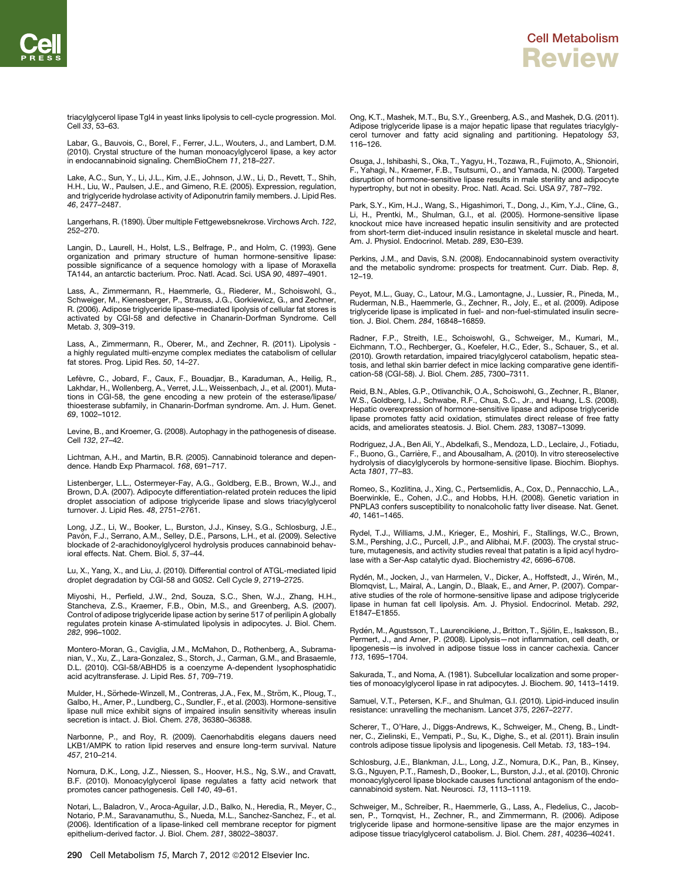<span id="page-11-0"></span>triacylglycerol lipase Tgl4 in yeast links lipolysis to cell-cycle progression. Mol. Cell *33*, 53–63.

Labar, G., Bauvois, C., Borel, F., Ferrer, J.L., Wouters, J., and Lambert, D.M. (2010). Crystal structure of the human monoacylglycerol lipase, a key actor in endocannabinoid signaling. ChemBioChem *11*, 218–227.

Lake, A.C., Sun, Y., Li, J.L., Kim, J.E., Johnson, J.W., Li, D., Revett, T., Shih, H.H., Liu, W., Paulsen, J.E., and Gimeno, R.E. (2005). Expression, regulation, and triglyceride hydrolase activity of Adiponutrin family members. J. Lipid Res. *46*, 2477–2487.

Langerhans, R. (1890). Über multiple Fettgewebsnekrose. Virchows Arch. 122, 252–270.

Langin, D., Laurell, H., Holst, L.S., Belfrage, P., and Holm, C. (1993). Gene organization and primary structure of human hormone-sensitive lipase: possible significance of a sequence homology with a lipase of Moraxella TA144, an antarctic bacterium. Proc. Natl. Acad. Sci. USA *90*, 4897–4901.

Lass, A., Zimmermann, R., Haemmerle, G., Riederer, M., Schoiswohl, G., Schweiger, M., Kienesberger, P., Strauss, J.G., Gorkiewicz, G., and Zechner, R. (2006). Adipose triglyceride lipase-mediated lipolysis of cellular fat stores is activated by CGI-58 and defective in Chanarin-Dorfman Syndrome. Cell Metab. *3*, 309–319.

Lass, A., Zimmermann, R., Oberer, M., and Zechner, R. (2011). Lipolysis a highly regulated multi-enzyme complex mediates the catabolism of cellular fat stores. Prog. Lipid Res. *50*, 14–27.

Lefèvre, C., Jobard, F., Caux, F., Bouadjar, B., Karaduman, A., Heilig, R., Lakhdar, H., Wollenberg, A., Verret, J.L., Weissenbach, J., et al. (2001). Mutations in CGI-58, the gene encoding a new protein of the esterase/lipase/ thioesterase subfamily, in Chanarin-Dorfman syndrome. Am. J. Hum. Genet. *69*, 1002–1012.

Levine, B., and Kroemer, G. (2008). Autophagy in the pathogenesis of disease. Cell *132*, 27–42.

Lichtman, A.H., and Martin, B.R. (2005). Cannabinoid tolerance and dependence. Handb Exp Pharmacol. *168*, 691–717.

Listenberger, L.L., Ostermeyer-Fay, A.G., Goldberg, E.B., Brown, W.J., and Brown, D.A. (2007). Adipocyte differentiation-related protein reduces the lipid droplet association of adipose triglyceride lipase and slows triacylglycerol turnover. J. Lipid Res. *48*, 2751–2761.

Long, J.Z., Li, W., Booker, L., Burston, J.J., Kinsey, S.G., Schlosburg, J.E., Pavón, F.J., Serrano, A.M., Selley, D.E., Parsons, L.H., et al. (2009). Selective blockade of 2-arachidonoylglycerol hydrolysis produces cannabinoid behavioral effects. Nat. Chem. Biol. *5*, 37–44.

Lu, X., Yang, X., and Liu, J. (2010). Differential control of ATGL-mediated lipid droplet degradation by CGI-58 and G0S2. Cell Cycle *9*, 2719–2725.

Miyoshi, H., Perfield, J.W., 2nd, Souza, S.C., Shen, W.J., Zhang, H.H., Stancheva, Z.S., Kraemer, F.B., Obin, M.S., and Greenberg, A.S. (2007). Control of adipose triglyceride lipase action by serine 517 of perilipin A globally regulates protein kinase A-stimulated lipolysis in adipocytes. J. Biol. Chem. *282*, 996–1002.

Montero-Moran, G., Caviglia, J.M., McMahon, D., Rothenberg, A., Subramanian, V., Xu, Z., Lara-Gonzalez, S., Storch, J., Carman, G.M., and Brasaemle, D.L. (2010). CGI-58/ABHD5 is a coenzyme A-dependent lysophosphatidic acid acyltransferase. J. Lipid Res. *51*, 709–719.

Mulder, H., Sörhede-Winzell, M., Contreras, J.A., Fex, M., Ström, K., Ploug, T., Galbo, H., Arner, P., Lundberg, C., Sundler, F., et al. (2003). Hormone-sensitive lipase null mice exhibit signs of impaired insulin sensitivity whereas insulin secretion is intact. J. Biol. Chem. *278*, 36380–36388.

Narbonne, P., and Roy, R. (2009). Caenorhabditis elegans dauers need LKB1/AMPK to ration lipid reserves and ensure long-term survival. Nature *457*, 210–214.

Nomura, D.K., Long, J.Z., Niessen, S., Hoover, H.S., Ng, S.W., and Cravatt, B.F. (2010). Monoacylglycerol lipase regulates a fatty acid network that promotes cancer pathogenesis. Cell *140*, 49–61.

Notari, L., Baladron, V., Aroca-Aguilar, J.D., Balko, N., Heredia, R., Meyer, C., Notario, P.M., Saravanamuthu, S., Nueda, M.L., Sanchez-Sanchez, F., et al. (2006). Identification of a lipase-linked cell membrane receptor for pigment epithelium-derived factor. J. Biol. Chem. *281*, 38022–38037.

Ong, K.T., Mashek, M.T., Bu, S.Y., Greenberg, A.S., and Mashek, D.G. (2011). Adipose triglyceride lipase is a major hepatic lipase that regulates triacylglycerol turnover and fatty acid signaling and partitioning. Hepatology *53*, 116–126.

Osuga, J., Ishibashi, S., Oka, T., Yagyu, H., Tozawa, R., Fujimoto, A., Shionoiri, F., Yahagi, N., Kraemer, F.B., Tsutsumi, O., and Yamada, N. (2000). Targeted disruption of hormone-sensitive lipase results in male sterility and adipocyte hypertrophy, but not in obesity. Proc. Natl. Acad. Sci. USA *97*, 787–792.

Park, S.Y., Kim, H.J., Wang, S., Higashimori, T., Dong, J., Kim, Y.J., Cline, G., Li, H., Prentki, M., Shulman, G.I., et al. (2005). Hormone-sensitive lipase knockout mice have increased hepatic insulin sensitivity and are protected from short-term diet-induced insulin resistance in skeletal muscle and heart. Am. J. Physiol. Endocrinol. Metab. *289*, E30–E39.

Perkins, J.M., and Davis, S.N. (2008). Endocannabinoid system overactivity and the metabolic syndrome: prospects for treatment. Curr. Diab. Rep. *8*, 12–19.

Peyot, M.L., Guay, C., Latour, M.G., Lamontagne, J., Lussier, R., Pineda, M., Ruderman, N.B., Haemmerle, G., Zechner, R., Joly, E., et al. (2009). Adipose triglyceride lipase is implicated in fuel- and non-fuel-stimulated insulin secretion. J. Biol. Chem. *284*, 16848–16859.

Radner, F.P., Streith, I.E., Schoiswohl, G., Schweiger, M., Kumari, M., Eichmann, T.O., Rechberger, G., Koefeler, H.C., Eder, S., Schauer, S., et al. (2010). Growth retardation, impaired triacylglycerol catabolism, hepatic steatosis, and lethal skin barrier defect in mice lacking comparative gene identification-58 (CGI-58). J. Biol. Chem. *285*, 7300–7311.

Reid, B.N., Ables, G.P., Otlivanchik, O.A., Schoiswohl, G., Zechner, R., Blaner, W.S., Goldberg, I.J., Schwabe, R.F., Chua, S.C., Jr., and Huang, L.S. (2008). Hepatic overexpression of hormone-sensitive lipase and adipose triglyceride lipase promotes fatty acid oxidation, stimulates direct release of free fatty acids, and ameliorates steatosis. J. Biol. Chem. *283*, 13087–13099.

Rodriguez, J.A., Ben Ali, Y., Abdelkafi, S., Mendoza, L.D., Leclaire, J., Fotiadu, F., Buono, G., Carrière, F., and Abousalham, A. (2010). In vitro stereoselective hydrolysis of diacylglycerols by hormone-sensitive lipase. Biochim. Biophys. Acta *1801*, 77–83.

Romeo, S., Kozlitina, J., Xing, C., Pertsemlidis, A., Cox, D., Pennacchio, L.A., Boerwinkle, E., Cohen, J.C., and Hobbs, H.H. (2008). Genetic variation in PNPLA3 confers susceptibility to nonalcoholic fatty liver disease. Nat. Genet. *40*, 1461–1465.

Rydel, T.J., Williams, J.M., Krieger, E., Moshiri, F., Stallings, W.C., Brown, S.M., Pershing, J.C., Purcell, J.P., and Alibhai, M.F. (2003). The crystal structure, mutagenesis, and activity studies reveal that patatin is a lipid acyl hydrolase with a Ser-Asp catalytic dyad. Biochemistry *42*, 6696–6708.

Rydén, M., Jocken, J., van Harmelen, V., Dicker, A., Hoffstedt, J., Wirén, M., Blomqvist, L., Mairal, A., Langin, D., Blaak, E., and Arner, P. (2007). Comparative studies of the role of hormone-sensitive lipase and adipose triglyceride lipase in human fat cell lipolysis. Am. J. Physiol. Endocrinol. Metab. *292*, E1847–E1855.

Rydén, M., Agustsson, T., Laurencikiene, J., Britton, T., Sjölin, E., Isaksson, B., Permert, J., and Arner, P. (2008). Lipolysis—not inflammation, cell death, or lipogenesis—is involved in adipose tissue loss in cancer cachexia. Cancer *113*, 1695–1704.

Sakurada, T., and Noma, A. (1981). Subcellular localization and some properties of monoacylglycerol lipase in rat adipocytes. J. Biochem. *90*, 1413–1419.

Samuel, V.T., Petersen, K.F., and Shulman, G.I. (2010). Lipid-induced insulin resistance: unravelling the mechanism. Lancet *375*, 2267–2277.

Scherer, T., O'Hare, J., Diggs-Andrews, K., Schweiger, M., Cheng, B., Lindtner, C., Zielinski, E., Vempati, P., Su, K., Dighe, S., et al. (2011). Brain insulin controls adipose tissue lipolysis and lipogenesis. Cell Metab. *13*, 183–194.

Schlosburg, J.E., Blankman, J.L., Long, J.Z., Nomura, D.K., Pan, B., Kinsey, S.G., Nguyen, P.T., Ramesh, D., Booker, L., Burston, J.J., et al. (2010). Chronic monoacylglycerol lipase blockade causes functional antagonism of the endocannabinoid system. Nat. Neurosci. *13*, 1113–1119.

Schweiger, M., Schreiber, R., Haemmerle, G., Lass, A., Fledelius, C., Jacobsen, P., Tornqvist, H., Zechner, R., and Zimmermann, R. (2006). Adipose triglyceride lipase and hormone-sensitive lipase are the major enzymes in adipose tissue triacylglycerol catabolism. J. Biol. Chem. *281*, 40236–40241.

290 Cell Metabolism 15, March 7, 2012 ©2012 Elsevier Inc.